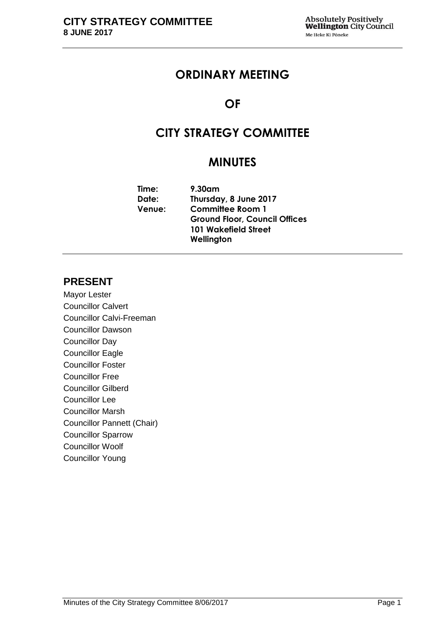# **ORDINARY MEETING**

# **OF**

# **CITY STRATEGY COMMITTEE**

# **MINUTES**

| 9.30am                               |
|--------------------------------------|
| Thursday, 8 June 2017                |
| <b>Committee Room 1</b>              |
| <b>Ground Floor, Council Offices</b> |
| <b>101 Wakefield Street</b>          |
| Wellington                           |
|                                      |

# **PRESENT**

Mayor Lester Councillor Calvert Councillor Calvi-Freeman Councillor Dawson Councillor Day Councillor Eagle Councillor Foster Councillor Free Councillor Gilberd Councillor Lee Councillor Marsh Councillor Pannett (Chair) Councillor Sparrow Councillor Woolf Councillor Young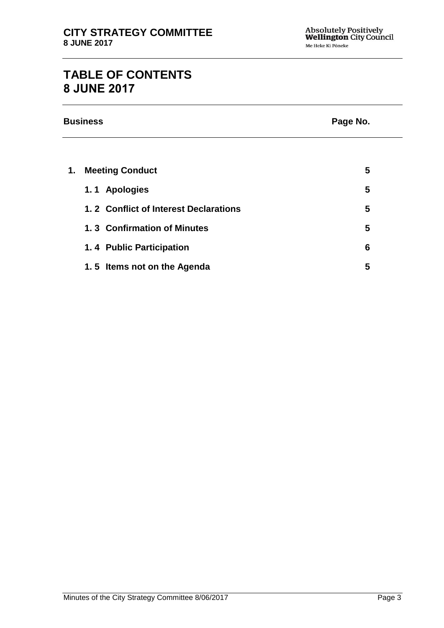# **TABLE OF CONTENTS 8 JUNE 2017**

|    | <b>Business</b>                       | Page No. |
|----|---------------------------------------|----------|
|    |                                       |          |
| 1. | <b>Meeting Conduct</b>                | 5        |
|    | 1.1 Apologies                         | 5        |
|    | 1.2 Conflict of Interest Declarations | 5        |
|    | 1.3 Confirmation of Minutes           | 5        |
|    | 1.4 Public Participation              | 6        |
|    | 1.5 Items not on the Agenda           | 5        |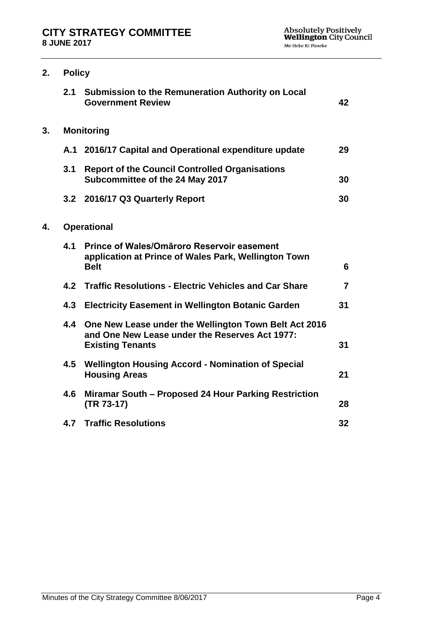| 2. | <b>Policy</b> |                                                                                                                                    |                |
|----|---------------|------------------------------------------------------------------------------------------------------------------------------------|----------------|
|    | 2.1           | <b>Submission to the Remuneration Authority on Local</b><br><b>Government Review</b>                                               | 42             |
| 3. |               | <b>Monitoring</b>                                                                                                                  |                |
|    |               | A.1 2016/17 Capital and Operational expenditure update                                                                             | 29             |
|    | 3.1           | <b>Report of the Council Controlled Organisations</b><br>Subcommittee of the 24 May 2017                                           | 30             |
|    |               | 3.2 2016/17 Q3 Quarterly Report                                                                                                    | 30             |
| 4. |               | <b>Operational</b>                                                                                                                 |                |
|    | 4.1           | Prince of Wales/Omaroro Reservoir easement<br>application at Prince of Wales Park, Wellington Town<br><b>Belt</b>                  | 6              |
|    | 4.2           | <b>Traffic Resolutions - Electric Vehicles and Car Share</b>                                                                       | $\overline{7}$ |
|    | 4.3           | <b>Electricity Easement in Wellington Botanic Garden</b>                                                                           | 31             |
|    | 4.4           | One New Lease under the Wellington Town Belt Act 2016<br>and One New Lease under the Reserves Act 1977:<br><b>Existing Tenants</b> | 31             |
|    | 4.5           | <b>Wellington Housing Accord - Nomination of Special</b><br><b>Housing Areas</b>                                                   | 21             |
|    | 4.6           | Miramar South - Proposed 24 Hour Parking Restriction<br>(TR 73-17)                                                                 | 28             |
|    | 4.7           | <b>Traffic Resolutions</b>                                                                                                         | 32             |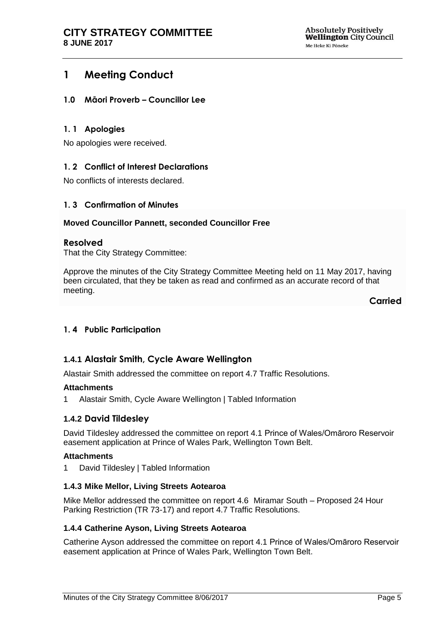# <span id="page-4-0"></span>**1 Meeting Conduct**

#### <span id="page-4-1"></span>**1.0 Māori Proverb – Councillor Lee**

#### **1. 1 Apologies**

No apologies were received.

#### <span id="page-4-2"></span>**1. 2 Conflict of Interest Declarations**

No conflicts of interests declared.

#### <span id="page-4-3"></span>**1. 3 Confirmation of Minutes**

#### **Moved Councillor Pannett, seconded Councillor Free**

#### **Resolved**

That the City Strategy Committee:

Approve the minutes of the City Strategy Committee Meeting held on 11 May 2017, having been circulated, that they be taken as read and confirmed as an accurate record of that meeting.

**Carried**

#### <span id="page-4-4"></span>**1. 4 Public Participation**

## **1.4.1 Alastair Smith, Cycle Aware Wellington**

Alastair Smith addressed the committee on report 4.7 Traffic Resolutions.

#### **Attachments**

1 Alastair Smith, Cycle Aware Wellington | Tabled Information

#### **1.4.2 David Tildesley**

David Tildesley addressed the committee on report 4.1 Prince of Wales/Omāroro Reservoir easement application at Prince of Wales Park, Wellington Town Belt.

#### **Attachments**

1 David Tildesley | Tabled Information

#### **1.4.3 Mike Mellor, Living Streets Aotearoa**

Mike Mellor addressed the committee on report 4.6 Miramar South – Proposed 24 Hour Parking Restriction (TR 73-17) and report 4.7 Traffic Resolutions.

#### **1.4.4 Catherine Ayson, Living Streets Aotearoa**

Catherine Ayson addressed the committee on report 4.1 Prince of Wales/Omāroro Reservoir easement application at Prince of Wales Park, Wellington Town Belt.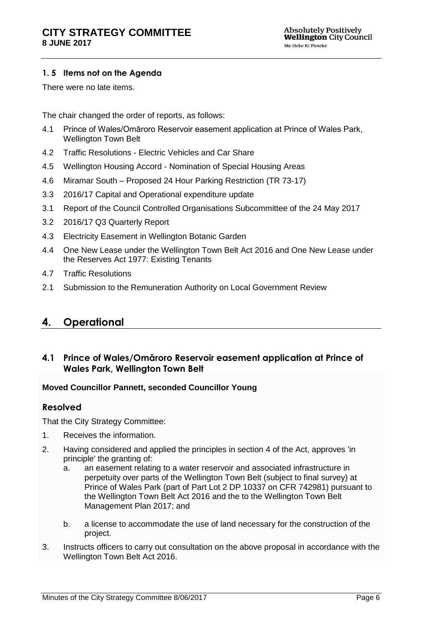#### <span id="page-5-0"></span>**1. 5 Items not on the Agenda**

There were no late items.

The chair changed the order of reports, as follows:

- 4.1 Prince of Wales/Omāroro Reservoir easement application at Prince of Wales Park, Wellington Town Belt
- 4.2 Traffic Resolutions Electric Vehicles and Car Share
- 4.5 Wellington Housing Accord Nomination of Special Housing Areas
- 4.6 Miramar South Proposed 24 Hour Parking Restriction (TR 73-17)
- 3.3 2016/17 Capital and Operational expenditure update
- 3.1 Report of the Council Controlled Organisations Subcommittee of the 24 May 2017
- 3.2 2016/17 Q3 Quarterly Report
- 4.3 Electricity Easement in Wellington Botanic Garden
- 4.4 One New Lease under the Wellington Town Belt Act 2016 and One New Lease under the Reserves Act 1977: Existing Tenants
- 4.7 Traffic Resolutions
- 2.1 Submission to the Remuneration Authority on Local Government Review

# **4. Operational**

## <span id="page-5-1"></span>**4.1 Prince of Wales/Omāroro Reservoir easement application at Prince of Wales Park, Wellington Town Belt**

#### **Moved Councillor Pannett, seconded Councillor Young**

#### **Resolved**

That the City Strategy Committee:

- 1. Receives the information.
- 2. Having considered and applied the principles in section 4 of the Act, approves 'in principle' the granting of:
	- a. an easement relating to a water reservoir and associated infrastructure in perpetuity over parts of the Wellington Town Belt (subject to final survey) at Prince of Wales Park (part of Part Lot 2 DP 10337 on CFR 742981) pursuant to the Wellington Town Belt Act 2016 and the to the Wellington Town Belt Management Plan 2017; and
	- b. a license to accommodate the use of land necessary for the construction of the project.
- 3. Instructs officers to carry out consultation on the above proposal in accordance with the Wellington Town Belt Act 2016.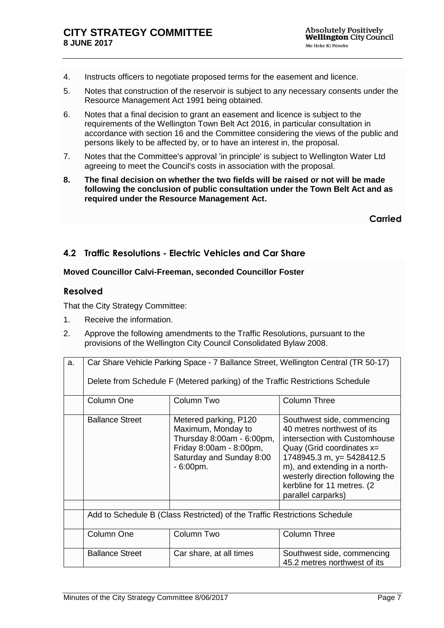- 4. Instructs officers to negotiate proposed terms for the easement and licence.
- 5. Notes that construction of the reservoir is subject to any necessary consents under the Resource Management Act 1991 being obtained.
- 6. Notes that a final decision to grant an easement and licence is subject to the requirements of the Wellington Town Belt Act 2016, in particular consultation in accordance with section 16 and the Committee considering the views of the public and persons likely to be affected by, or to have an interest in, the proposal.
- 7. Notes that the Committee's approval 'in principle' is subject to Wellington Water Ltd agreeing to meet the Council's costs in association with the proposal.
- **8. The final decision on whether the two fields will be raised or not will be made following the conclusion of public consultation under the Town Belt Act and as required under the Resource Management Act.**

**Carried**

# <span id="page-6-0"></span>**4.2 Traffic Resolutions - Electric Vehicles and Car Share**

#### **Moved Councillor Calvi-Freeman, seconded Councillor Foster**

#### **Resolved**

That the City Strategy Committee:

- 1. Receive the information.
- 2. Approve the following amendments to the Traffic Resolutions, pursuant to the provisions of the Wellington City Council Consolidated Bylaw 2008.

| a. | Car Share Vehicle Parking Space - 7 Ballance Street, Wellington Central (TR 50-17) |                                                                                                                                                |                                                                                                                                                                                                                                                                                 |
|----|------------------------------------------------------------------------------------|------------------------------------------------------------------------------------------------------------------------------------------------|---------------------------------------------------------------------------------------------------------------------------------------------------------------------------------------------------------------------------------------------------------------------------------|
|    |                                                                                    | Delete from Schedule F (Metered parking) of the Traffic Restrictions Schedule                                                                  |                                                                                                                                                                                                                                                                                 |
|    | Column One                                                                         | Column Two                                                                                                                                     | <b>Column Three</b>                                                                                                                                                                                                                                                             |
|    | <b>Ballance Street</b>                                                             | Metered parking, P120<br>Maximum, Monday to<br>Thursday 8:00am - 6:00pm,<br>Friday 8:00am - 8:00pm,<br>Saturday and Sunday 8:00<br>$-6:00pm$ . | Southwest side, commencing<br>40 metres northwest of its<br>intersection with Customhouse<br>Quay (Grid coordinates $x=$<br>1748945.3 m, y= 5428412.5<br>m), and extending in a north-<br>westerly direction following the<br>kerbline for 11 metres. (2)<br>parallel carparks) |
|    | Add to Schedule B (Class Restricted) of the Traffic Restrictions Schedule          |                                                                                                                                                |                                                                                                                                                                                                                                                                                 |
|    | Column One                                                                         | Column Two                                                                                                                                     | <b>Column Three</b>                                                                                                                                                                                                                                                             |
|    | <b>Ballance Street</b>                                                             | Car share, at all times                                                                                                                        | Southwest side, commencing<br>45.2 metres northwest of its                                                                                                                                                                                                                      |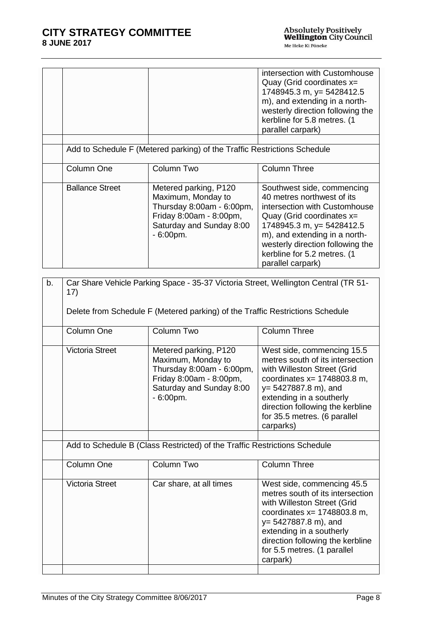|                        |                                                                                                                                                | intersection with Customhouse<br>Quay (Grid coordinates x=<br>1748945.3 m, y= 5428412.5<br>m), and extending in a north-<br>westerly direction following the<br>kerbline for 5.8 metres. (1<br>parallel carpark)                                                               |
|------------------------|------------------------------------------------------------------------------------------------------------------------------------------------|--------------------------------------------------------------------------------------------------------------------------------------------------------------------------------------------------------------------------------------------------------------------------------|
|                        |                                                                                                                                                |                                                                                                                                                                                                                                                                                |
|                        | Add to Schedule F (Metered parking) of the Traffic Restrictions Schedule                                                                       |                                                                                                                                                                                                                                                                                |
| Column One             | Column Two                                                                                                                                     | <b>Column Three</b>                                                                                                                                                                                                                                                            |
| <b>Ballance Street</b> | Metered parking, P120<br>Maximum, Monday to<br>Thursday 8:00am - 6:00pm,<br>Friday 8:00am - 8:00pm,<br>Saturday and Sunday 8:00<br>$-6:00pm$ . | Southwest side, commencing<br>40 metres northwest of its<br>intersection with Customhouse<br>Quay (Grid coordinates $x=$<br>1748945.3 m, y= 5428412.5<br>m), and extending in a north-<br>westerly direction following the<br>kerbline for 5.2 metres. (1<br>parallel carpark) |

| b. | Car Share Vehicle Parking Space - 35-37 Victoria Street, Wellington Central (TR 51-<br>17) |                                                                                                                                                |                                                                                                                                                                                                                                                                         |
|----|--------------------------------------------------------------------------------------------|------------------------------------------------------------------------------------------------------------------------------------------------|-------------------------------------------------------------------------------------------------------------------------------------------------------------------------------------------------------------------------------------------------------------------------|
|    | Delete from Schedule F (Metered parking) of the Traffic Restrictions Schedule              |                                                                                                                                                |                                                                                                                                                                                                                                                                         |
|    | Column One                                                                                 | Column Two                                                                                                                                     | <b>Column Three</b>                                                                                                                                                                                                                                                     |
|    | <b>Victoria Street</b>                                                                     | Metered parking, P120<br>Maximum, Monday to<br>Thursday 8:00am - 6:00pm,<br>Friday 8:00am - 8:00pm,<br>Saturday and Sunday 8:00<br>$-6:00pm$ . | West side, commencing 15.5<br>metres south of its intersection<br>with Willeston Street (Grid<br>coordinates $x = 1748803.8$ m,<br>$y = 5427887.8$ m), and<br>extending in a southerly<br>direction following the kerbline<br>for 35.5 metres. (6 parallel<br>carparks) |
|    |                                                                                            | Add to Schedule B (Class Restricted) of the Traffic Restrictions Schedule                                                                      |                                                                                                                                                                                                                                                                         |
|    |                                                                                            |                                                                                                                                                |                                                                                                                                                                                                                                                                         |
|    | Column One                                                                                 | Column Two                                                                                                                                     | <b>Column Three</b>                                                                                                                                                                                                                                                     |
|    | <b>Victoria Street</b>                                                                     | Car share, at all times                                                                                                                        | West side, commencing 45.5<br>metres south of its intersection<br>with Willeston Street (Grid<br>coordinates $x = 1748803.8$ m,<br>y= 5427887.8 m), and<br>extending in a southerly<br>direction following the kerbline<br>for 5.5 metres. (1 parallel<br>carpark)      |
|    |                                                                                            |                                                                                                                                                |                                                                                                                                                                                                                                                                         |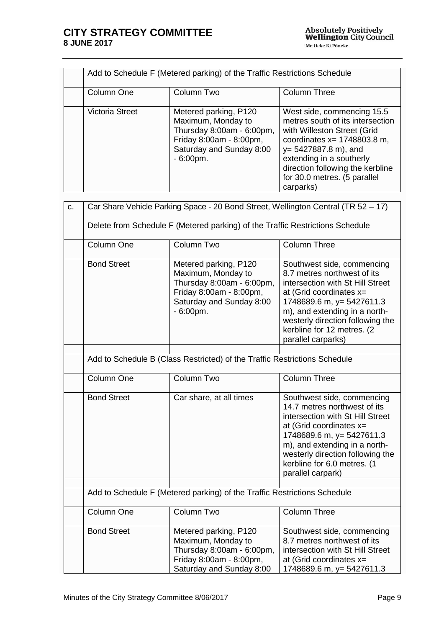| Add to Schedule F (Metered parking) of the Traffic Restrictions Schedule |                                                                                                                                                |                                                                                                                                                                                                                                                                         |
|--------------------------------------------------------------------------|------------------------------------------------------------------------------------------------------------------------------------------------|-------------------------------------------------------------------------------------------------------------------------------------------------------------------------------------------------------------------------------------------------------------------------|
| Column One                                                               | Column Two                                                                                                                                     | <b>Column Three</b>                                                                                                                                                                                                                                                     |
| <b>Victoria Street</b>                                                   | Metered parking, P120<br>Maximum, Monday to<br>Thursday 8:00am - 6:00pm,<br>Friday 8:00am - 8:00pm,<br>Saturday and Sunday 8:00<br>$-6:00pm$ . | West side, commencing 15.5<br>metres south of its intersection<br>with Willeston Street (Grid<br>coordinates $x = 1748803.8$ m,<br>$y = 5427887.8$ m), and<br>extending in a southerly<br>direction following the kerbline<br>for 30.0 metres. (5 parallel<br>carparks) |

| c. | Car Share Vehicle Parking Space - 20 Bond Street, Wellington Central (TR 52 - 17)<br>Delete from Schedule F (Metered parking) of the Traffic Restrictions Schedule |                                                                                                                                                |                                                                                                                                                                                                                                                                                   |
|----|--------------------------------------------------------------------------------------------------------------------------------------------------------------------|------------------------------------------------------------------------------------------------------------------------------------------------|-----------------------------------------------------------------------------------------------------------------------------------------------------------------------------------------------------------------------------------------------------------------------------------|
|    | Column One                                                                                                                                                         | Column Two                                                                                                                                     | <b>Column Three</b>                                                                                                                                                                                                                                                               |
|    | <b>Bond Street</b>                                                                                                                                                 | Metered parking, P120<br>Maximum, Monday to<br>Thursday 8:00am - 6:00pm,<br>Friday 8:00am - 8:00pm,<br>Saturday and Sunday 8:00<br>$-6:00pm$ . | Southwest side, commencing<br>8.7 metres northwest of its<br>intersection with St Hill Street<br>at (Grid coordinates $x=$<br>1748689.6 m, y= 5427611.3<br>m), and extending in a north-<br>westerly direction following the<br>kerbline for 12 metres. (2<br>parallel carparks)  |
|    |                                                                                                                                                                    | Add to Schedule B (Class Restricted) of the Traffic Restrictions Schedule                                                                      |                                                                                                                                                                                                                                                                                   |
|    | Column One                                                                                                                                                         | Column Two                                                                                                                                     | Column Three                                                                                                                                                                                                                                                                      |
|    | <b>Bond Street</b>                                                                                                                                                 | Car share, at all times                                                                                                                        | Southwest side, commencing<br>14.7 metres northwest of its<br>intersection with St Hill Street<br>at (Grid coordinates $x=$<br>1748689.6 m, y= 5427611.3<br>m), and extending in a north-<br>westerly direction following the<br>kerbline for 6.0 metres. (1<br>parallel carpark) |
|    |                                                                                                                                                                    | Add to Schedule F (Metered parking) of the Traffic Restrictions Schedule                                                                       |                                                                                                                                                                                                                                                                                   |
|    | Column One                                                                                                                                                         | Column Two                                                                                                                                     | <b>Column Three</b>                                                                                                                                                                                                                                                               |
|    | <b>Bond Street</b>                                                                                                                                                 | Metered parking, P120<br>Maximum, Monday to<br>Thursday 8:00am - 6:00pm,<br>Friday 8:00am - 8:00pm,<br>Saturday and Sunday 8:00                | Southwest side, commencing<br>8.7 metres northwest of its<br>intersection with St Hill Street<br>at (Grid coordinates $x=$<br>1748689.6 m, y= 5427611.3                                                                                                                           |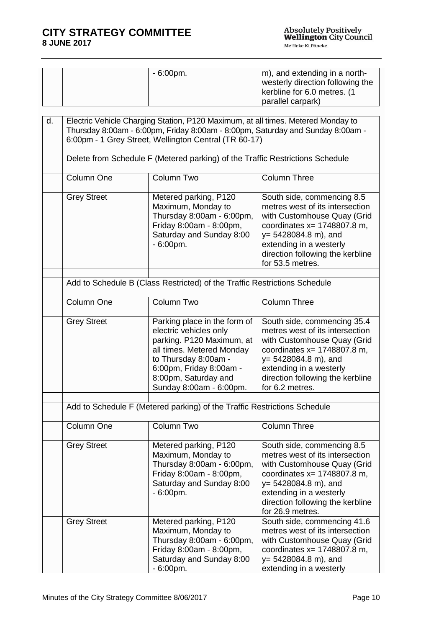| $-6:00$ pm. | m), and extending in a north-    |
|-------------|----------------------------------|
|             | westerly direction following the |
|             | kerbline for 6.0 metres. (1      |
|             | parallel carpark)                |

| d. | Electric Vehicle Charging Station, P120 Maximum, at all times. Metered Monday to<br>Thursday 8:00am - 6:00pm, Friday 8:00am - 8:00pm, Saturday and Sunday 8:00am -<br>6:00pm - 1 Grey Street, Wellington Central (TR 60-17) |                                                                                                                                                                                                                        |                                                                                                                                                                                                                                              |
|----|-----------------------------------------------------------------------------------------------------------------------------------------------------------------------------------------------------------------------------|------------------------------------------------------------------------------------------------------------------------------------------------------------------------------------------------------------------------|----------------------------------------------------------------------------------------------------------------------------------------------------------------------------------------------------------------------------------------------|
|    |                                                                                                                                                                                                                             | Delete from Schedule F (Metered parking) of the Traffic Restrictions Schedule                                                                                                                                          |                                                                                                                                                                                                                                              |
|    | Column One                                                                                                                                                                                                                  | Column Two                                                                                                                                                                                                             | <b>Column Three</b>                                                                                                                                                                                                                          |
|    | <b>Grey Street</b>                                                                                                                                                                                                          | Metered parking, P120<br>Maximum, Monday to<br>Thursday 8:00am - 6:00pm,<br>Friday 8:00am - 8:00pm,<br>Saturday and Sunday 8:00<br>$-6:00pm$ .                                                                         | South side, commencing 8.5<br>metres west of its intersection<br>with Customhouse Quay (Grid<br>coordinates $x = 1748807.8$ m,<br>$y = 5428084.8$ m), and<br>extending in a westerly<br>direction following the kerbline<br>for 53.5 metres. |
|    |                                                                                                                                                                                                                             | Add to Schedule B (Class Restricted) of the Traffic Restrictions Schedule                                                                                                                                              |                                                                                                                                                                                                                                              |
|    | Column One                                                                                                                                                                                                                  | Column Two                                                                                                                                                                                                             | <b>Column Three</b>                                                                                                                                                                                                                          |
|    | <b>Grey Street</b>                                                                                                                                                                                                          | Parking place in the form of<br>electric vehicles only<br>parking. P120 Maximum, at<br>all times. Metered Monday<br>to Thursday 8:00am -<br>6:00pm, Friday 8:00am -<br>8:00pm, Saturday and<br>Sunday 8:00am - 6:00pm. | South side, commencing 35.4<br>metres west of its intersection<br>with Customhouse Quay (Grid<br>coordinates $x = 1748807.8$ m,<br>$y = 5428084.8$ m), and<br>extending in a westerly<br>direction following the kerbline<br>for 6.2 metres. |
|    |                                                                                                                                                                                                                             | Add to Schedule F (Metered parking) of the Traffic Restrictions Schedule                                                                                                                                               |                                                                                                                                                                                                                                              |
|    | Column One                                                                                                                                                                                                                  | Column Two                                                                                                                                                                                                             | <b>Column Three</b>                                                                                                                                                                                                                          |
|    | <b>Grey Street</b>                                                                                                                                                                                                          | Metered parking, P120<br>Maximum, Monday to<br>Thursday 8:00am - 6:00pm,<br>Friday 8:00am - 8:00pm,<br>Saturday and Sunday 8:00<br>$-6:00pm$ .                                                                         | South side, commencing 8.5<br>metres west of its intersection<br>with Customhouse Quay (Grid<br>coordinates $x = 1748807.8$ m,<br>$y = 5428084.8$ m), and<br>extending in a westerly<br>direction following the kerbline<br>for 26.9 metres. |
|    | <b>Grey Street</b>                                                                                                                                                                                                          | Metered parking, P120<br>Maximum, Monday to<br>Thursday 8:00am - 6:00pm,<br>Friday 8:00am - 8:00pm,<br>Saturday and Sunday 8:00<br>$-6:00pm$ .                                                                         | South side, commencing 41.6<br>metres west of its intersection<br>with Customhouse Quay (Grid<br>coordinates $x = 1748807.8$ m,<br>$y = 5428084.8$ m), and<br>extending in a westerly                                                        |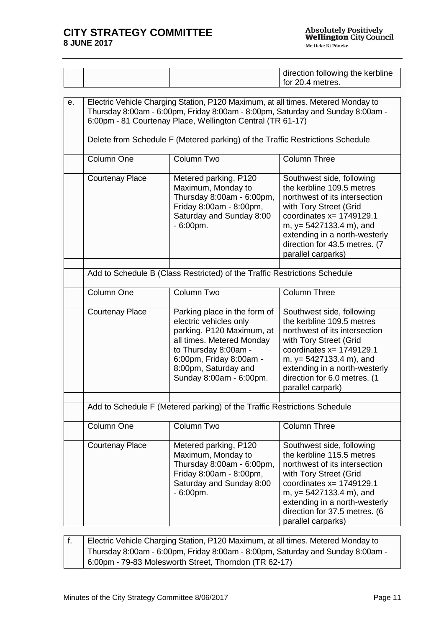|    |                        |                                                                                                                                                                                                                                 | direction following the kerbline                                               |
|----|------------------------|---------------------------------------------------------------------------------------------------------------------------------------------------------------------------------------------------------------------------------|--------------------------------------------------------------------------------|
|    |                        |                                                                                                                                                                                                                                 | for 20.4 metres.                                                               |
|    |                        |                                                                                                                                                                                                                                 |                                                                                |
| е. |                        | Electric Vehicle Charging Station, P120 Maximum, at all times. Metered Monday to<br>6:00pm - 81 Courtenay Place, Wellington Central (TR 61-17)<br>Delete from Schedule F (Metered parking) of the Traffic Restrictions Schedule | Thursday 8:00am - 6:00pm, Friday 8:00am - 8:00pm, Saturday and Sunday 8:00am - |
|    | Column One             | Column Two                                                                                                                                                                                                                      | <b>Column Three</b>                                                            |
|    | <b>Courtenay Place</b> | Metered parking, P120<br>Maximum, Monday to                                                                                                                                                                                     | Southwest side, following<br>the kerbline 109.5 metres                         |

| Column One             | Column Two                                                                                                                                                                                                             | <b>Column Three</b>                                                                                                                                                                                                                                                    |
|------------------------|------------------------------------------------------------------------------------------------------------------------------------------------------------------------------------------------------------------------|------------------------------------------------------------------------------------------------------------------------------------------------------------------------------------------------------------------------------------------------------------------------|
| <b>Courtenay Place</b> | Metered parking, P120<br>Maximum, Monday to<br>Thursday 8:00am - 6:00pm,<br>Friday 8:00am - 8:00pm,<br>Saturday and Sunday 8:00<br>$-6:00pm$ .                                                                         | Southwest side, following<br>the kerbline 109.5 metres<br>northwest of its intersection<br>with Tory Street (Grid<br>coordinates $x = 1749129.1$<br>m, y= 5427133.4 m), and<br>extending in a north-westerly<br>direction for 43.5 metres. (7<br>parallel carparks)    |
|                        | Add to Schedule B (Class Restricted) of the Traffic Restrictions Schedule                                                                                                                                              |                                                                                                                                                                                                                                                                        |
| Column One             | Column Two                                                                                                                                                                                                             | <b>Column Three</b>                                                                                                                                                                                                                                                    |
| <b>Courtenay Place</b> | Parking place in the form of<br>electric vehicles only<br>parking. P120 Maximum, at<br>all times. Metered Monday<br>to Thursday 8:00am -<br>6:00pm, Friday 8:00am -<br>8:00pm, Saturday and<br>Sunday 8:00am - 6:00pm. | Southwest side, following<br>the kerbline 109.5 metres<br>northwest of its intersection<br>with Tory Street (Grid<br>coordinates $x = 1749129.1$<br>m, $y = 5427133.4$ m), and<br>extending in a north-westerly<br>direction for 6.0 metres. (1<br>parallel carpark)   |
|                        | Add to Schedule F (Metered parking) of the Traffic Restrictions Schedule                                                                                                                                               |                                                                                                                                                                                                                                                                        |
| Column One             | Column Two                                                                                                                                                                                                             | <b>Column Three</b>                                                                                                                                                                                                                                                    |
| <b>Courtenay Place</b> | Metered parking, P120<br>Maximum, Monday to<br>Thursday 8:00am - 6:00pm,<br>Friday 8:00am - 8:00pm,<br>Saturday and Sunday 8:00<br>$-6:00pm$ .                                                                         | Southwest side, following<br>the kerbline 115.5 metres<br>northwest of its intersection<br>with Tory Street (Grid<br>coordinates $x = 1749129.1$<br>m, $y = 5427133.4$ m), and<br>extending in a north-westerly<br>direction for 37.5 metres. (6<br>parallel carparks) |

| Electric Vehicle Charging Station, P120 Maximum, at all times. Metered Monday to |
|----------------------------------------------------------------------------------|
| Thursday 8:00am - 6:00pm, Friday 8:00am - 8:00pm, Saturday and Sunday 8:00am -   |
| 6:00pm - 79-83 Molesworth Street, Thorndon (TR 62-17)                            |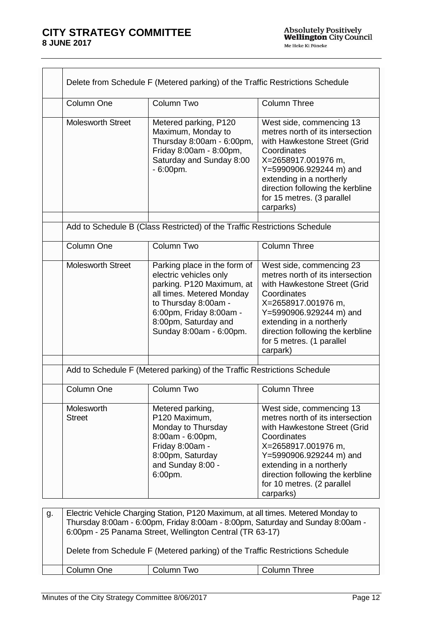| Column One                  | Column Two                                                                                                                                                                                                             | <b>Column Three</b>                                                                                                                                                                                                                                                      |
|-----------------------------|------------------------------------------------------------------------------------------------------------------------------------------------------------------------------------------------------------------------|--------------------------------------------------------------------------------------------------------------------------------------------------------------------------------------------------------------------------------------------------------------------------|
| <b>Molesworth Street</b>    | Metered parking, P120<br>Maximum, Monday to<br>Thursday 8:00am - 6:00pm,<br>Friday 8:00am - 8:00pm,<br>Saturday and Sunday 8:00<br>$-6:00pm$ .                                                                         | West side, commencing 13<br>metres north of its intersection<br>with Hawkestone Street (Grid<br>Coordinates<br>X=2658917.001976 m,<br>Y=5990906.929244 m) and<br>extending in a northerly<br>direction following the kerbline<br>for 15 metres. (3 parallel<br>carparks) |
|                             | Add to Schedule B (Class Restricted) of the Traffic Restrictions Schedule                                                                                                                                              |                                                                                                                                                                                                                                                                          |
| Column One                  | Column Two                                                                                                                                                                                                             | <b>Column Three</b>                                                                                                                                                                                                                                                      |
| <b>Molesworth Street</b>    | Parking place in the form of<br>electric vehicles only<br>parking. P120 Maximum, at<br>all times. Metered Monday<br>to Thursday 8:00am -<br>6:00pm, Friday 8:00am -<br>8:00pm, Saturday and<br>Sunday 8:00am - 6:00pm. | West side, commencing 23<br>metres north of its intersection<br>with Hawkestone Street (Grid<br>Coordinates<br>X=2658917.001976 m,<br>Y=5990906.929244 m) and<br>extending in a northerly<br>direction following the kerbline<br>for 5 metres. (1 parallel<br>carpark)   |
|                             | Add to Schedule F (Metered parking) of the Traffic Restrictions Schedule                                                                                                                                               |                                                                                                                                                                                                                                                                          |
| Column One                  | Column Two                                                                                                                                                                                                             | <b>Column Three</b>                                                                                                                                                                                                                                                      |
| Molesworth<br><b>Street</b> | Metered parking,<br>P120 Maximum,<br>Monday to Thursday<br>8:00am - 6:00pm,<br>Friday 8:00am -<br>8:00pm, Saturday<br>and Sunday 8:00 -<br>6:00pm.                                                                     | West side, commencing 13<br>metres north of its intersection<br>with Hawkestone Street (Grid<br>Coordinates<br>X=2658917.001976 m.<br>Y=5990906.929244 m) and<br>extending in a northerly<br>direction following the kerbline<br>for 10 metres. (2 parallel<br>carparks) |
|                             |                                                                                                                                                                                                                        |                                                                                                                                                                                                                                                                          |

Delete from Schedule F (Metered parking) of the Traffic Restrictions Schedule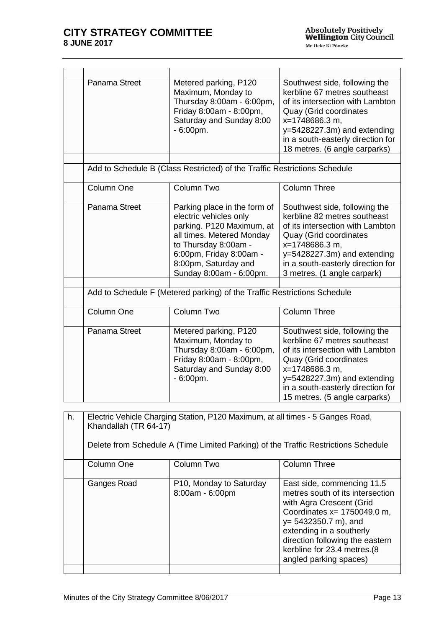| Panama Street | Metered parking, P120<br>Maximum, Monday to<br>Thursday 8:00am - 6:00pm,<br>Friday 8:00am - 8:00pm,<br>Saturday and Sunday 8:00<br>$-6:00pm$ .                                                                         | Southwest side, following the<br>kerbline 67 metres southeast<br>of its intersection with Lambton<br>Quay (Grid coordinates<br>x=1748686.3 m.<br>$y=5428227.3m$ ) and extending<br>in a south-easterly direction for<br>18 metres. (6 angle carparks) |
|---------------|------------------------------------------------------------------------------------------------------------------------------------------------------------------------------------------------------------------------|-------------------------------------------------------------------------------------------------------------------------------------------------------------------------------------------------------------------------------------------------------|
|               | Add to Schedule B (Class Restricted) of the Traffic Restrictions Schedule                                                                                                                                              |                                                                                                                                                                                                                                                       |
| Column One    | Column Two                                                                                                                                                                                                             | <b>Column Three</b>                                                                                                                                                                                                                                   |
| Panama Street | Parking place in the form of<br>electric vehicles only<br>parking. P120 Maximum, at<br>all times. Metered Monday<br>to Thursday 8:00am -<br>6:00pm, Friday 8:00am -<br>8:00pm, Saturday and<br>Sunday 8:00am - 6:00pm. | Southwest side, following the<br>kerbline 82 metres southeast<br>of its intersection with Lambton<br>Quay (Grid coordinates<br>x=1748686.3 m,<br>$y=5428227.3m$ ) and extending<br>in a south-easterly direction for<br>3 metres. (1 angle carpark)   |
|               |                                                                                                                                                                                                                        |                                                                                                                                                                                                                                                       |
|               | Add to Schedule F (Metered parking) of the Traffic Restrictions Schedule                                                                                                                                               |                                                                                                                                                                                                                                                       |
| Column One    | Column Two                                                                                                                                                                                                             | <b>Column Three</b>                                                                                                                                                                                                                                   |
| Panama Street | Metered parking, P120<br>Maximum, Monday to<br>Thursday 8:00am - 6:00pm,<br>Friday 8:00am - 8:00pm,<br>Saturday and Sunday 8:00<br>$-6:00pm$ .                                                                         | Southwest side, following the<br>kerbline 67 metres southeast<br>of its intersection with Lambton<br>Quay (Grid coordinates<br>x=1748686.3 m,<br>y=5428227.3m) and extending<br>in a south-easterly direction for<br>15 metres. (5 angle carparks)    |

| h. | Electric Vehicle Charging Station, P120 Maximum, at all times - 5 Ganges Road,<br>Khandallah (TR 64-17)<br>Delete from Schedule A (Time Limited Parking) of the Traffic Restrictions Schedule |                                                         |                                                                                                                                                                                                                                                                                 |
|----|-----------------------------------------------------------------------------------------------------------------------------------------------------------------------------------------------|---------------------------------------------------------|---------------------------------------------------------------------------------------------------------------------------------------------------------------------------------------------------------------------------------------------------------------------------------|
|    | Column One                                                                                                                                                                                    | Column Two                                              | <b>Column Three</b>                                                                                                                                                                                                                                                             |
|    | Ganges Road                                                                                                                                                                                   | P <sub>10</sub> , Monday to Saturday<br>8:00am - 6:00pm | East side, commencing 11.5<br>metres south of its intersection<br>with Agra Crescent (Grid<br>Coordinates $x = 1750049.0$ m,<br>$y = 5432350.7$ m), and<br>extending in a southerly<br>direction following the eastern<br>kerbline for 23.4 metres.(8<br>angled parking spaces) |
|    |                                                                                                                                                                                               |                                                         |                                                                                                                                                                                                                                                                                 |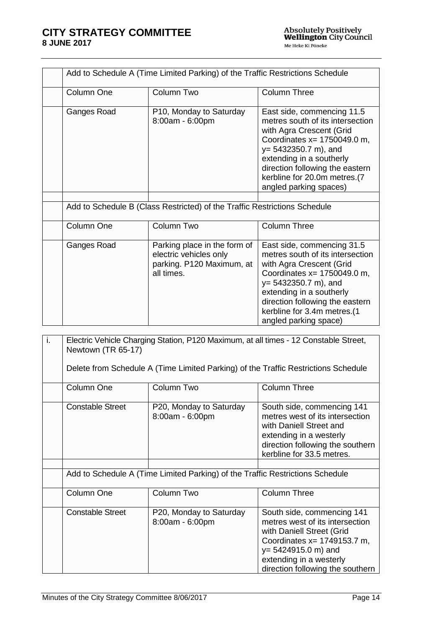| Add to Schedule A (Time Limited Parking) of the Traffic Restrictions Schedule |                                                                                                                         |                                                                                                                                                                                                                                                                                  |
|-------------------------------------------------------------------------------|-------------------------------------------------------------------------------------------------------------------------|----------------------------------------------------------------------------------------------------------------------------------------------------------------------------------------------------------------------------------------------------------------------------------|
| Column One                                                                    | Column Two                                                                                                              | <b>Column Three</b>                                                                                                                                                                                                                                                              |
| Ganges Road                                                                   | P10, Monday to Saturday<br>8:00am - 6:00pm<br>Add to Schedule B (Class Restricted) of the Traffic Restrictions Schedule | East side, commencing 11.5<br>metres south of its intersection<br>with Agra Crescent (Grid<br>Coordinates $x = 1750049.0$ m,<br>$y = 5432350.7$ m), and<br>extending in a southerly<br>direction following the eastern<br>kerbline for 20.0m metres.(7<br>angled parking spaces) |
|                                                                               |                                                                                                                         |                                                                                                                                                                                                                                                                                  |
| Column One                                                                    | Column Two                                                                                                              | <b>Column Three</b>                                                                                                                                                                                                                                                              |
| Ganges Road                                                                   | Parking place in the form of<br>electric vehicles only<br>parking. P120 Maximum, at<br>all times.                       | East side, commencing 31.5<br>metres south of its intersection<br>with Agra Crescent (Grid<br>Coordinates $x=1750049.0$ m,<br>$y = 5432350.7$ m), and<br>extending in a southerly<br>direction following the eastern<br>kerbline for 3.4m metres.(1<br>angled parking space)     |

| j. | Electric Vehicle Charging Station, P120 Maximum, at all times - 12 Constable Street,<br>Newtown (TR 65-17) |                                                                               |                                                                                                                                                                                                                    |
|----|------------------------------------------------------------------------------------------------------------|-------------------------------------------------------------------------------|--------------------------------------------------------------------------------------------------------------------------------------------------------------------------------------------------------------------|
|    |                                                                                                            |                                                                               | Delete from Schedule A (Time Limited Parking) of the Traffic Restrictions Schedule                                                                                                                                 |
|    | Column One                                                                                                 | Column Two                                                                    | <b>Column Three</b>                                                                                                                                                                                                |
|    | <b>Constable Street</b>                                                                                    | P20, Monday to Saturday<br>8:00am - 6:00pm                                    | South side, commencing 141<br>metres west of its intersection<br>with Daniell Street and<br>extending in a westerly<br>direction following the southern<br>kerbline for 33.5 metres.                               |
|    |                                                                                                            | Add to Schedule A (Time Limited Parking) of the Traffic Restrictions Schedule |                                                                                                                                                                                                                    |
|    |                                                                                                            |                                                                               |                                                                                                                                                                                                                    |
|    | Column One                                                                                                 | Column Two                                                                    | <b>Column Three</b>                                                                                                                                                                                                |
|    | <b>Constable Street</b>                                                                                    | P20, Monday to Saturday<br>8:00am - 6:00pm                                    | South side, commencing 141<br>metres west of its intersection<br>with Daniell Street (Grid<br>Coordinates x= 1749153.7 m,<br>$y = 5424915.0$ m) and<br>extending in a westerly<br>direction following the southern |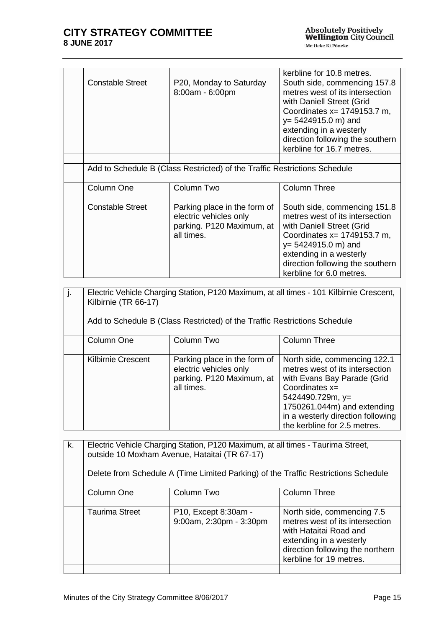|                         |                                                                                                   | kerbline for 10.8 metres.                                                                                                                                                                                                                            |
|-------------------------|---------------------------------------------------------------------------------------------------|------------------------------------------------------------------------------------------------------------------------------------------------------------------------------------------------------------------------------------------------------|
| <b>Constable Street</b> | P20, Monday to Saturday<br>8:00am - 6:00pm                                                        | South side, commencing 157.8<br>metres west of its intersection<br>with Daniell Street (Grid<br>Coordinates $x = 1749153.7$ m,<br>$y = 5424915.0$ m) and<br>extending in a westerly<br>direction following the southern<br>kerbline for 16.7 metres. |
|                         |                                                                                                   |                                                                                                                                                                                                                                                      |
|                         | Add to Schedule B (Class Restricted) of the Traffic Restrictions Schedule                         |                                                                                                                                                                                                                                                      |
| Column One              | Column Two                                                                                        | <b>Column Three</b>                                                                                                                                                                                                                                  |
| <b>Constable Street</b> | Parking place in the form of<br>electric vehicles only<br>parking. P120 Maximum, at<br>all times. | South side, commencing 151.8<br>metres west of its intersection<br>with Daniell Street (Grid<br>Coordinates x= 1749153.7 m,<br>$y = 5424915.0$ m) and<br>extending in a westerly<br>direction following the southern<br>kerbline for 6.0 metres.     |

| j. | Electric Vehicle Charging Station, P120 Maximum, at all times - 101 Kilbirnie Crescent,<br>Kilbirnie (TR 66-17)<br>Add to Schedule B (Class Restricted) of the Traffic Restrictions Schedule |                                                                                                   |                                                                                                                                                                                                                                               |
|----|----------------------------------------------------------------------------------------------------------------------------------------------------------------------------------------------|---------------------------------------------------------------------------------------------------|-----------------------------------------------------------------------------------------------------------------------------------------------------------------------------------------------------------------------------------------------|
|    | Column One                                                                                                                                                                                   | Column Two                                                                                        | Column Three                                                                                                                                                                                                                                  |
|    | Kilbirnie Crescent                                                                                                                                                                           | Parking place in the form of<br>electric vehicles only<br>parking. P120 Maximum, at<br>all times. | North side, commencing 122.1<br>metres west of its intersection<br>with Evans Bay Parade (Grid<br>Coordinates $x=$<br>$5424490.729m$ , y=<br>1750261.044m) and extending<br>in a westerly direction following<br>the kerbline for 2.5 metres. |

| k. | Electric Vehicle Charging Station, P120 Maximum, at all times - Taurima Street,<br>outside 10 Moxham Avenue, Hataitai (TR 67-17)<br>Delete from Schedule A (Time Limited Parking) of the Traffic Restrictions Schedule |                                                 |                                                                                                                                                                                   |
|----|------------------------------------------------------------------------------------------------------------------------------------------------------------------------------------------------------------------------|-------------------------------------------------|-----------------------------------------------------------------------------------------------------------------------------------------------------------------------------------|
|    | Column One                                                                                                                                                                                                             | Column Two                                      | <b>Column Three</b>                                                                                                                                                               |
|    | <b>Taurima Street</b>                                                                                                                                                                                                  | P10, Except 8:30am -<br>9:00am, 2:30pm - 3:30pm | North side, commencing 7.5<br>metres west of its intersection<br>with Hataitai Road and<br>extending in a westerly<br>direction following the northern<br>kerbline for 19 metres. |
|    |                                                                                                                                                                                                                        |                                                 |                                                                                                                                                                                   |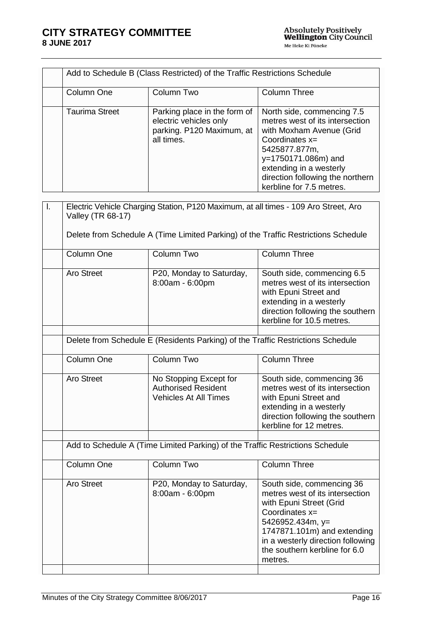|    |                       | Add to Schedule B (Class Restricted) of the Traffic Restrictions Schedule                         |                                                                                                                                                                                                                                                |
|----|-----------------------|---------------------------------------------------------------------------------------------------|------------------------------------------------------------------------------------------------------------------------------------------------------------------------------------------------------------------------------------------------|
|    | Column One            | Column Two                                                                                        | <b>Column Three</b>                                                                                                                                                                                                                            |
|    | <b>Taurima Street</b> | Parking place in the form of<br>electric vehicles only<br>parking. P120 Maximum, at<br>all times. | North side, commencing 7.5<br>metres west of its intersection<br>with Moxham Avenue (Grid<br>Coordinates x=<br>5425877.877m,<br>y=1750171.086m) and<br>extending in a westerly<br>direction following the northern<br>kerbline for 7.5 metres. |
| Ι. | Valley (TR 68-17)     | Electric Vehicle Charging Station, P120 Maximum, at all times - 109 Aro Street, Aro               |                                                                                                                                                                                                                                                |
|    |                       |                                                                                                   | Delete from Schedule A (Time Limited Parking) of the Traffic Restrictions Schedule                                                                                                                                                             |
|    | Column One            | Column Two                                                                                        | <b>Column Three</b>                                                                                                                                                                                                                            |
|    | <b>Aro Street</b>     | P20, Monday to Saturday,<br>8:00am - 6:00pm                                                       | South side, commencing 6.5<br>metres west of its intersection<br>with Epuni Street and<br>extending in a westerly<br>direction following the southern<br>kerbline for 10.5 metres.                                                             |
|    |                       | Delete from Schedule E (Residents Parking) of the Traffic Restrictions Schedule                   |                                                                                                                                                                                                                                                |
|    | Column One            | Column Two                                                                                        | <b>Column Three</b>                                                                                                                                                                                                                            |
|    | <b>Aro Street</b>     | No Stopping Except for<br><b>Authorised Resident</b><br><b>Vehicles At All Times</b>              | South side, commencing 36<br>metres west of its intersection<br>with Epuni Street and<br>extending in a westerly<br>direction following the southern<br>kerbline for 12 metres.                                                                |
|    |                       | Add to Schedule A (Time Limited Parking) of the Traffic Restrictions Schedule                     |                                                                                                                                                                                                                                                |
|    | Column One            | Column Two                                                                                        | <b>Column Three</b>                                                                                                                                                                                                                            |
|    | <b>Aro Street</b>     | P20, Monday to Saturday,<br>8:00am - 6:00pm                                                       | South side, commencing 36<br>metres west of its intersection<br>with Epuni Street (Grid<br>Coordinates x=<br>5426952.434m, y=<br>1747871.101m) and extending<br>in a westerly direction following<br>the southern kerbline for 6.0<br>metres.  |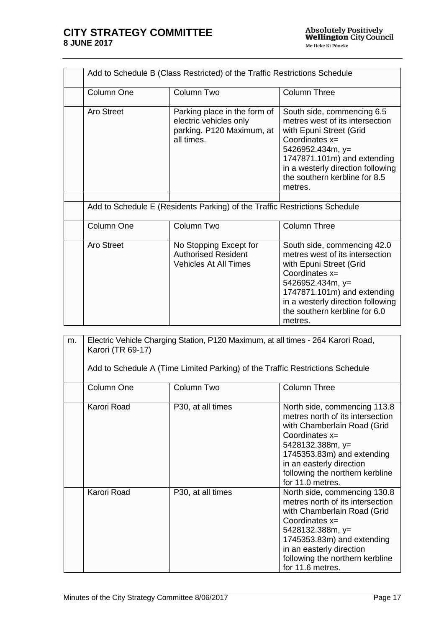| Add to Schedule B (Class Restricted) of the Traffic Restrictions Schedule |                                                                                                   |                                                                                                                                                                                                                                                   |
|---------------------------------------------------------------------------|---------------------------------------------------------------------------------------------------|---------------------------------------------------------------------------------------------------------------------------------------------------------------------------------------------------------------------------------------------------|
| Column One                                                                | Column Two                                                                                        | <b>Column Three</b>                                                                                                                                                                                                                               |
| <b>Aro Street</b>                                                         | Parking place in the form of<br>electric vehicles only<br>parking. P120 Maximum, at<br>all times. | South side, commencing 6.5<br>metres west of its intersection<br>with Epuni Street (Grid<br>Coordinates $x=$<br>5426952.434m, y=<br>1747871.101m) and extending<br>in a westerly direction following<br>the southern kerbline for 8.5<br>metres.  |
|                                                                           |                                                                                                   |                                                                                                                                                                                                                                                   |
|                                                                           | Add to Schedule E (Residents Parking) of the Traffic Restrictions Schedule                        |                                                                                                                                                                                                                                                   |
| Column One                                                                | Column Two                                                                                        | <b>Column Three</b>                                                                                                                                                                                                                               |
| Aro Street                                                                | No Stopping Except for<br><b>Authorised Resident</b><br><b>Vehicles At All Times</b>              | South side, commencing 42.0<br>metres west of its intersection<br>with Epuni Street (Grid<br>Coordinates $x=$<br>5426952.434m, y=<br>1747871.101m) and extending<br>in a westerly direction following<br>the southern kerbline for 6.0<br>metres. |

| m. | Electric Vehicle Charging Station, P120 Maximum, at all times - 264 Karori Road,<br>Karori (TR 69-17) |                                                                               |                                                                                                                                                                                                                                                          |
|----|-------------------------------------------------------------------------------------------------------|-------------------------------------------------------------------------------|----------------------------------------------------------------------------------------------------------------------------------------------------------------------------------------------------------------------------------------------------------|
|    |                                                                                                       | Add to Schedule A (Time Limited Parking) of the Traffic Restrictions Schedule |                                                                                                                                                                                                                                                          |
|    | Column One                                                                                            | Column Two                                                                    | <b>Column Three</b>                                                                                                                                                                                                                                      |
|    | Karori Road                                                                                           | P30, at all times                                                             | North side, commencing 113.8<br>metres north of its intersection<br>with Chamberlain Road (Grid<br>Coordinates $x=$<br>5428132.388m, y=<br>1745353.83m) and extending<br>in an easterly direction<br>following the northern kerbline<br>for 11.0 metres. |
|    | Karori Road                                                                                           | P30, at all times                                                             | North side, commencing 130.8<br>metres north of its intersection<br>with Chamberlain Road (Grid<br>Coordinates x=<br>5428132.388m, y=<br>1745353.83m) and extending<br>in an easterly direction<br>following the northern kerbline<br>for 11.6 metres.   |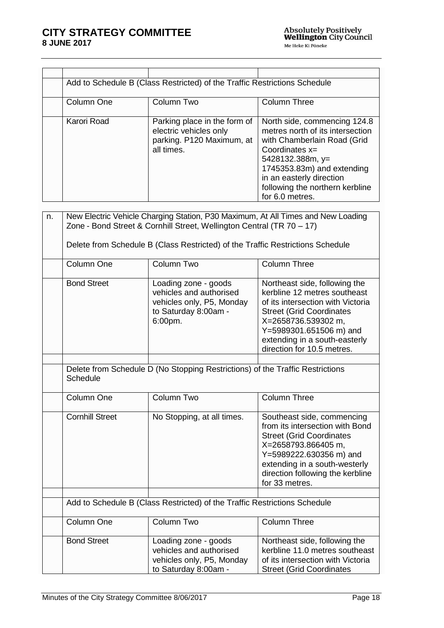|                        | Add to Schedule B (Class Restricted) of the Traffic Restrictions Schedule                                                                                 |                                                                                                                                                                                                                                                         |
|------------------------|-----------------------------------------------------------------------------------------------------------------------------------------------------------|---------------------------------------------------------------------------------------------------------------------------------------------------------------------------------------------------------------------------------------------------------|
| Column One             | Column Two                                                                                                                                                | <b>Column Three</b>                                                                                                                                                                                                                                     |
| Karori Road            | Parking place in the form of<br>electric vehicles only<br>parking. P120 Maximum, at<br>all times.                                                         | North side, commencing 124.8<br>metres north of its intersection<br>with Chamberlain Road (Grid<br>Coordinates $x=$<br>5428132.388m, y=<br>1745353.83m) and extending<br>in an easterly direction<br>following the northern kerbline<br>for 6.0 metres. |
| n.                     | New Electric Vehicle Charging Station, P30 Maximum, At All Times and New Loading<br>Zone - Bond Street & Cornhill Street, Wellington Central (TR 70 - 17) |                                                                                                                                                                                                                                                         |
|                        | Delete from Schedule B (Class Restricted) of the Traffic Restrictions Schedule                                                                            |                                                                                                                                                                                                                                                         |
| Column One             | Column Two                                                                                                                                                | <b>Column Three</b>                                                                                                                                                                                                                                     |
| <b>Bond Street</b>     | Loading zone - goods<br>vehicles and authorised<br>vehicles only, P5, Monday<br>to Saturday 8:00am -<br>6:00pm.                                           | Northeast side, following the<br>kerbline 12 metres southeast<br>of its intersection with Victoria<br><b>Street (Grid Coordinates</b><br>X=2658736.539302 m,<br>Y=5989301.651506 m) and<br>extending in a south-easterly<br>direction for 10.5 metres.  |
| Schedule               | Delete from Schedule D (No Stopping Restrictions) of the Traffic Restrictions                                                                             |                                                                                                                                                                                                                                                         |
| Column One             | Column Two                                                                                                                                                | <b>Column Three</b>                                                                                                                                                                                                                                     |
| <b>Cornhill Street</b> | No Stopping, at all times.                                                                                                                                | Southeast side, commencing<br>from its intersection with Bond<br><b>Street (Grid Coordinates</b><br>X=2658793.866405 m,<br>Y=5989222.630356 m) and<br>extending in a south-westerly<br>direction following the kerbline<br>for 33 metres.               |
|                        | Add to Schedule B (Class Restricted) of the Traffic Restrictions Schedule                                                                                 |                                                                                                                                                                                                                                                         |
| Column One             | Column Two                                                                                                                                                | <b>Column Three</b>                                                                                                                                                                                                                                     |
| <b>Bond Street</b>     | Loading zone - goods<br>vehicles and authorised                                                                                                           | Northeast side, following the<br>kerbline 11.0 metres southeast                                                                                                                                                                                         |

vehicles only, P5, Monday to Saturday 8:00am -

of its intersection with Victoria Street (Grid Coordinates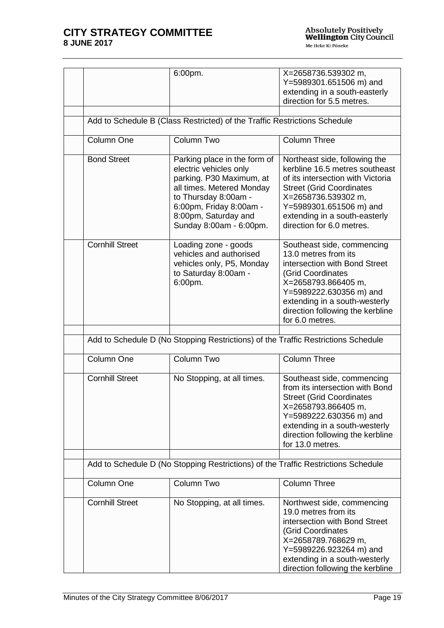|                        | 6:00pm.                                                                                                                                                                                                               | X=2658736.539302 m,<br>Y=5989301.651506 m) and<br>extending in a south-easterly<br>direction for 5.5 metres.                                                                                                                                            |
|------------------------|-----------------------------------------------------------------------------------------------------------------------------------------------------------------------------------------------------------------------|---------------------------------------------------------------------------------------------------------------------------------------------------------------------------------------------------------------------------------------------------------|
|                        | Add to Schedule B (Class Restricted) of the Traffic Restrictions Schedule                                                                                                                                             |                                                                                                                                                                                                                                                         |
| Column One             | Column Two                                                                                                                                                                                                            | <b>Column Three</b>                                                                                                                                                                                                                                     |
| <b>Bond Street</b>     | Parking place in the form of<br>electric vehicles only<br>parking. P30 Maximum, at<br>all times. Metered Monday<br>to Thursday 8:00am -<br>6:00pm, Friday 8:00am -<br>8:00pm, Saturday and<br>Sunday 8:00am - 6:00pm. | Northeast side, following the<br>kerbline 16.5 metres southeast<br>of its intersection with Victoria<br><b>Street (Grid Coordinates</b><br>X=2658736.539302 m,<br>Y=5989301.651506 m) and<br>extending in a south-easterly<br>direction for 6.0 metres. |
| <b>Cornhill Street</b> | Loading zone - goods<br>vehicles and authorised<br>vehicles only, P5, Monday<br>to Saturday 8:00am -<br>6:00pm.                                                                                                       | Southeast side, commencing<br>13.0 metres from its<br>intersection with Bond Street<br>(Grid Coordinates<br>X=2658793.866405 m,<br>Y=5989222.630356 m) and<br>extending in a south-westerly<br>direction following the kerbline<br>for 6.0 metres.      |
|                        | Add to Schedule D (No Stopping Restrictions) of the Traffic Restrictions Schedule                                                                                                                                     |                                                                                                                                                                                                                                                         |
| Column One             | <b>Column Two</b>                                                                                                                                                                                                     | <b>Column Three</b>                                                                                                                                                                                                                                     |
| <b>Cornhill Street</b> | No Stopping, at all times.                                                                                                                                                                                            | Southeast side, commencing<br>from its intersection with Bond<br><b>Street (Grid Coordinates</b><br>X=2658793.866405 m,<br>Y=5989222.630356 m) and<br>extending in a south-westerly<br>direction following the kerbline<br>for 13.0 metres.             |
|                        | Add to Schedule D (No Stopping Restrictions) of the Traffic Restrictions Schedule                                                                                                                                     |                                                                                                                                                                                                                                                         |
| Column One             | Column Two                                                                                                                                                                                                            | <b>Column Three</b>                                                                                                                                                                                                                                     |
| <b>Cornhill Street</b> | No Stopping, at all times.                                                                                                                                                                                            | Northwest side, commencing<br>19.0 metres from its<br>intersection with Bond Street<br>(Grid Coordinates<br>X=2658789.768629 m,<br>Y=5989226.923264 m) and<br>extending in a south-westerly<br>direction following the kerbline                         |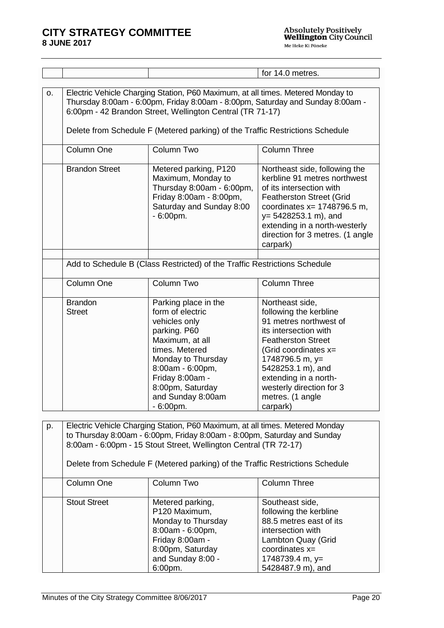Absolutely Positively<br>**Wellington** City Council Me Heke Ki Pöneke

| Electric Vehicle Charging Station, P60 Maximum, at all times. Metered Monday to<br>o.<br>Thursday 8:00am - 6:00pm, Friday 8:00am - 8:00pm, Saturday and Sunday 8:00am -<br>6:00pm - 42 Brandon Street, Wellington Central (TR 71-17)                                                                                |                                                                                                                                                                                                                                     |                                                                                                                                                                                                                                                                                |  |
|---------------------------------------------------------------------------------------------------------------------------------------------------------------------------------------------------------------------------------------------------------------------------------------------------------------------|-------------------------------------------------------------------------------------------------------------------------------------------------------------------------------------------------------------------------------------|--------------------------------------------------------------------------------------------------------------------------------------------------------------------------------------------------------------------------------------------------------------------------------|--|
|                                                                                                                                                                                                                                                                                                                     |                                                                                                                                                                                                                                     |                                                                                                                                                                                                                                                                                |  |
| Column One                                                                                                                                                                                                                                                                                                          | Column Two                                                                                                                                                                                                                          | <b>Column Three</b>                                                                                                                                                                                                                                                            |  |
| <b>Brandon Street</b>                                                                                                                                                                                                                                                                                               | Metered parking, P120<br>Maximum, Monday to<br>Thursday 8:00am - 6:00pm,<br>Friday 8:00am - 8:00pm,<br>Saturday and Sunday 8:00<br>$-6:00$ pm.                                                                                      | Northeast side, following the<br>kerbline 91 metres northwest<br>of its intersection with<br><b>Featherston Street (Grid</b><br>coordinates $x = 1748796.5$ m,<br>$y = 5428253.1$ m), and<br>extending in a north-westerly<br>direction for 3 metres. (1 angle<br>carpark)     |  |
|                                                                                                                                                                                                                                                                                                                     |                                                                                                                                                                                                                                     |                                                                                                                                                                                                                                                                                |  |
|                                                                                                                                                                                                                                                                                                                     |                                                                                                                                                                                                                                     |                                                                                                                                                                                                                                                                                |  |
| Column One                                                                                                                                                                                                                                                                                                          | Column Two                                                                                                                                                                                                                          | <b>Column Three</b>                                                                                                                                                                                                                                                            |  |
| <b>Brandon</b><br><b>Street</b>                                                                                                                                                                                                                                                                                     | Parking place in the<br>form of electric<br>vehicles only<br>parking. P60<br>Maximum, at all<br>times. Metered<br>Monday to Thursday<br>8:00am - 6:00pm,<br>Friday 8:00am -<br>8:00pm, Saturday<br>and Sunday 8:00am<br>$-6:00pm$ . | Northeast side,<br>following the kerbline<br>91 metres northwest of<br>its intersection with<br><b>Featherston Street</b><br>(Grid coordinates x=<br>1748796.5 m, y=<br>5428253.1 m), and<br>extending in a north-<br>westerly direction for 3<br>metres. (1 angle<br>carpark) |  |
|                                                                                                                                                                                                                                                                                                                     |                                                                                                                                                                                                                                     |                                                                                                                                                                                                                                                                                |  |
| Electric Vehicle Charging Station, P60 Maximum, at all times. Metered Monday<br>p.<br>to Thursday 8:00am - 6:00pm, Friday 8:00am - 8:00pm, Saturday and Sunday<br>8:00am - 6:00pm - 15 Stout Street, Wellington Central (TR 72-17)<br>Delete from Schedule F (Metered parking) of the Traffic Restrictions Schedule |                                                                                                                                                                                                                                     |                                                                                                                                                                                                                                                                                |  |
|                                                                                                                                                                                                                                                                                                                     |                                                                                                                                                                                                                                     | Delete from Schedule F (Metered parking) of the Traffic Restrictions Schedule<br>Add to Schedule B (Class Restricted) of the Traffic Restrictions Schedule                                                                                                                     |  |

| Column One          | Column Two         | <b>Column Three</b>     |
|---------------------|--------------------|-------------------------|
|                     |                    |                         |
| <b>Stout Street</b> | Metered parking,   | Southeast side,         |
|                     | P120 Maximum,      | following the kerbline  |
|                     | Monday to Thursday | 88.5 metres east of its |
|                     | 8:00am - 6:00pm,   | intersection with       |
|                     | Friday 8:00am -    | Lambton Quay (Grid      |
|                     | 8:00pm, Saturday   | coordinates $x=$        |
|                     | and Sunday 8:00 -  | 1748739.4 m, $y=$       |
|                     | 6:00pm.            | 5428487.9 m), and       |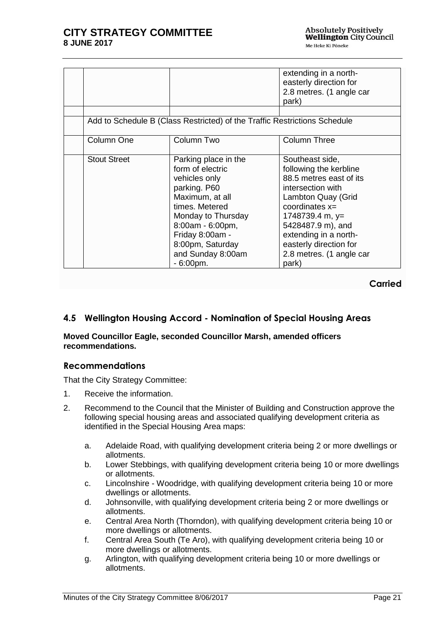|                     |                                                                                                                                                                                                                                     | extending in a north-<br>easterly direction for<br>2.8 metres. (1 angle car<br>park)                                                                                                                                                                                  |
|---------------------|-------------------------------------------------------------------------------------------------------------------------------------------------------------------------------------------------------------------------------------|-----------------------------------------------------------------------------------------------------------------------------------------------------------------------------------------------------------------------------------------------------------------------|
|                     |                                                                                                                                                                                                                                     | Add to Schedule B (Class Restricted) of the Traffic Restrictions Schedule                                                                                                                                                                                             |
| Column One          | Column Two                                                                                                                                                                                                                          | <b>Column Three</b>                                                                                                                                                                                                                                                   |
| <b>Stout Street</b> | Parking place in the<br>form of electric<br>vehicles only<br>parking. P60<br>Maximum, at all<br>times. Metered<br>Monday to Thursday<br>8:00am - 6:00pm,<br>Friday 8:00am -<br>8:00pm, Saturday<br>and Sunday 8:00am<br>$-6:00$ pm. | Southeast side,<br>following the kerbline<br>88.5 metres east of its<br>intersection with<br>Lambton Quay (Grid<br>coordinates $x=$<br>1748739.4 m, $y=$<br>5428487.9 m), and<br>extending in a north-<br>easterly direction for<br>2.8 metres. (1 angle car<br>park) |

**Carried**

# <span id="page-20-0"></span>**4.5 Wellington Housing Accord - Nomination of Special Housing Areas**

#### **Moved Councillor Eagle, seconded Councillor Marsh, amended officers recommendations.**

## **Recommendations**

That the City Strategy Committee:

- 1. Receive the information.
- 2. Recommend to the Council that the Minister of Building and Construction approve the following special housing areas and associated qualifying development criteria as identified in the Special Housing Area maps:
	- a. Adelaide Road, with qualifying development criteria being 2 or more dwellings or allotments.
	- b. Lower Stebbings, with qualifying development criteria being 10 or more dwellings or allotments.
	- c. Lincolnshire Woodridge, with qualifying development criteria being 10 or more dwellings or allotments.
	- d. Johnsonville, with qualifying development criteria being 2 or more dwellings or allotments.
	- e. Central Area North (Thorndon), with qualifying development criteria being 10 or more dwellings or allotments.
	- f. Central Area South (Te Aro), with qualifying development criteria being 10 or more dwellings or allotments.
	- g. Arlington, with qualifying development criteria being 10 or more dwellings or allotments.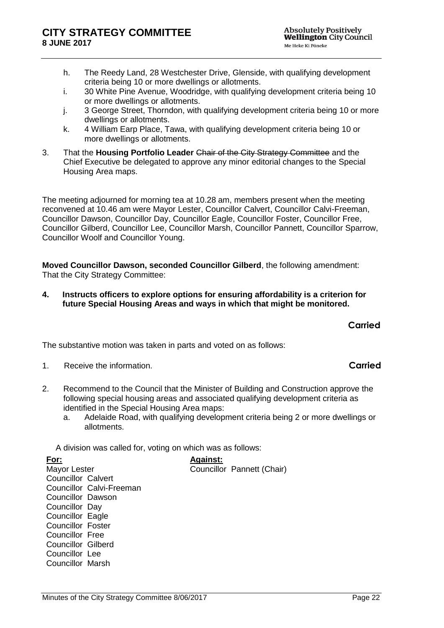- h. The Reedy Land, 28 Westchester Drive, Glenside, with qualifying development criteria being 10 or more dwellings or allotments.
- i. 30 White Pine Avenue, Woodridge, with qualifying development criteria being 10 or more dwellings or allotments.
- j. 3 George Street, Thorndon, with qualifying development criteria being 10 or more dwellings or allotments.
- k. 4 William Earp Place, Tawa, with qualifying development criteria being 10 or more dwellings or allotments.
- 3. That the **Housing Portfolio Leader** Chair of the City Strategy Committee and the Chief Executive be delegated to approve any minor editorial changes to the Special Housing Area maps.

The meeting adjourned for morning tea at 10.28 am, members present when the meeting reconvened at 10.46 am were Mayor Lester, Councillor Calvert, Councillor Calvi-Freeman, Councillor Dawson, Councillor Day, Councillor Eagle, Councillor Foster, Councillor Free, Councillor Gilberd, Councillor Lee, Councillor Marsh, Councillor Pannett, Councillor Sparrow, Councillor Woolf and Councillor Young.

**Moved Councillor Dawson, seconded Councillor Gilberd**, the following amendment: That the City Strategy Committee:

**4. Instructs officers to explore options for ensuring affordability is a criterion for future Special Housing Areas and ways in which that might be monitored.** 

## **Carried**

The substantive motion was taken in parts and voted on as follows:

- 1. Receive the information. **Carried**
- 2. Recommend to the Council that the Minister of Building and Construction approve the following special housing areas and associated qualifying development criteria as identified in the Special Housing Area maps:
	- a. Adelaide Road, with qualifying development criteria being 2 or more dwellings or allotments.

A division was called for, voting on which was as follows:

**For:** Mayor Lester Councillor Calvert Councillor Calvi-Freeman Councillor Dawson Councillor Day Councillor Eagle Councillor Foster Councillor Free Councillor Gilberd Councillor Lee Councillor Marsh **Against:** Councillor Pannett (Chair)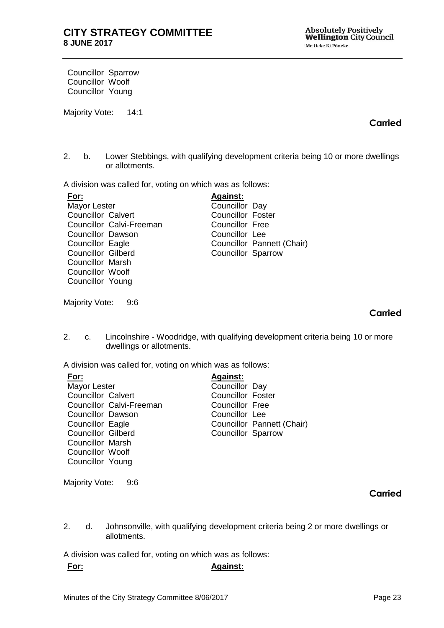Councillor Sparrow Councillor Woolf Councillor Young

Majority Vote: 14:1

# **Carried**

2. b. Lower Stebbings, with qualifying development criteria being 10 or more dwellings or allotments.

A division was called for, voting on which was as follows:

| <u>For:</u>               | <b>Against:</b>           |                            |
|---------------------------|---------------------------|----------------------------|
| Mayor Lester              | Councillor Day            |                            |
| <b>Councillor Calvert</b> | <b>Councillor Foster</b>  |                            |
| Councillor Calvi-Freeman  | Councillor Free           |                            |
| <b>Councillor Dawson</b>  | Councillor Lee            |                            |
| Councillor Eagle          |                           | Councillor Pannett (Chair) |
| <b>Councillor Gilberd</b> | <b>Councillor Sparrow</b> |                            |
| <b>Councillor Marsh</b>   |                           |                            |
| Councillor Woolf          |                           |                            |
| Councillor Young          |                           |                            |
|                           |                           |                            |

Majority Vote: 9:6

### **Carried**

2. c. Lincolnshire - Woodridge, with qualifying development criteria being 10 or more dwellings or allotments.

A division was called for, voting on which was as follows:

| <u>For:</u>               |                          | <b>Against:</b>          |                            |
|---------------------------|--------------------------|--------------------------|----------------------------|
| Mayor Lester              |                          | Councillor Day           |                            |
| <b>Councillor Calvert</b> |                          | <b>Councillor Foster</b> |                            |
|                           | Councillor Calvi-Freeman | Councillor Free          |                            |
| <b>Councillor Dawson</b>  |                          | Councillor Lee           |                            |
| Councillor Eagle          |                          |                          | Councillor Pannett (Chair) |
| <b>Councillor Gilberd</b> |                          | Councillor Sparrow       |                            |
| <b>Councillor Marsh</b>   |                          |                          |                            |
| Councillor Woolf          |                          |                          |                            |
| Councillor Young          |                          |                          |                            |

Majority Vote: 9:6

## **Carried**

2. d. Johnsonville, with qualifying development criteria being 2 or more dwellings or allotments.

A division was called for, voting on which was as follows:

#### **For: Against:**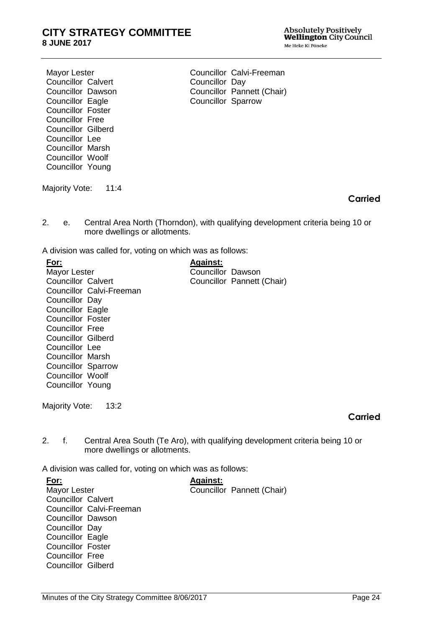Absolutely Positively<br>Wellington City Council Me Heke Ki Põneke

Mayor Lester Councillor Calvert Councillor Dawson Councillor Eagle Councillor Foster Councillor Free Councillor Gilberd Councillor Lee Councillor Marsh Councillor Woolf Councillor Young

Majority Vote: 11:4

Councillor Calvi-Freeman Councillor Day Councillor Pannett (Chair) Councillor Sparrow

**Carried**

2. e. Central Area North (Thorndon), with qualifying development criteria being 10 or more dwellings or allotments.

A division was called for, voting on which was as follows:

| For:                                      | <b>Against:</b>                                                               |
|-------------------------------------------|-------------------------------------------------------------------------------|
| Mayor Lester                              | Councillor Dawson                                                             |
| <b>Councillor Calvert</b>                 | Councillor Pannett (Chair)                                                    |
| Councillor Calvi-Freeman                  |                                                                               |
| Councillor Day                            |                                                                               |
| Councillor Eagle                          |                                                                               |
| <b>Councillor Foster</b>                  |                                                                               |
| <b>Councillor Free</b>                    |                                                                               |
| Councillor Gilberd                        |                                                                               |
| Councillor Lee                            |                                                                               |
| <b>Councillor Marsh</b>                   |                                                                               |
| <b>Councillor Sparrow</b>                 |                                                                               |
| Councillor Woolf                          |                                                                               |
| Councillor Young                          |                                                                               |
|                                           |                                                                               |
| Majority Vote:<br>13:2                    |                                                                               |
|                                           | Car                                                                           |
|                                           |                                                                               |
| 2.<br>f.<br>more dwellings or allotments. | Central Area South (Te Aro), with qualifying development criteria being 10 or |

A division was called for, voting on which was as follows:

**For:** Mayor Lester Councillor Calvert Councillor Calvi-Freeman Councillor Dawson Councillor Day Councillor Eagle Councillor Foster Councillor Free Councillor Gilberd **Against:** Councillor Pannett (Chair) **Carried**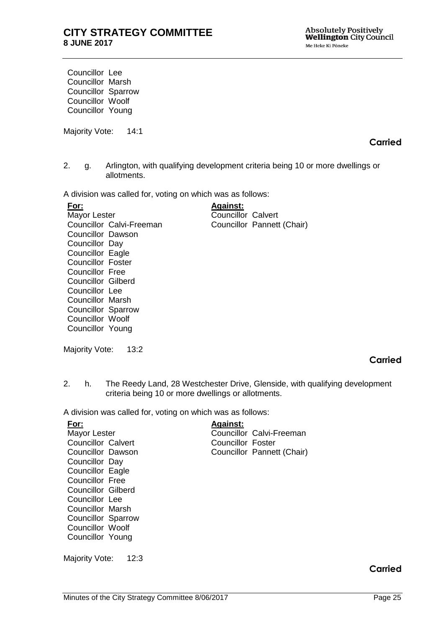Councillor Lee Councillor Marsh Councillor Sparrow Councillor Woolf Councillor Young

Majority Vote: 14:1

## **Carried**

2. g. Arlington, with qualifying development criteria being 10 or more dwellings or allotments.

A division was called for, voting on which was as follows:

| For:                      | <b>Against:</b>            |  |
|---------------------------|----------------------------|--|
| Mayor Lester              | Councillor Calvert         |  |
| Councillor Calvi-Freeman  | Councillor Pannett (Chair) |  |
| Councillor Dawson         |                            |  |
| Councillor Day            |                            |  |
| Councillor Eagle          |                            |  |
| <b>Councillor Foster</b>  |                            |  |
| Councillor Free           |                            |  |
| Councillor Gilberd        |                            |  |
| Councillor Lee            |                            |  |
| <b>Councillor Marsh</b>   |                            |  |
| <b>Councillor Sparrow</b> |                            |  |
| Councillor Woolf          |                            |  |
| Councillor Young          |                            |  |

Majority Vote: 13:2

# **Carried**

2. h. The Reedy Land, 28 Westchester Drive, Glenside, with qualifying development criteria being 10 or more dwellings or allotments.

A division was called for, voting on which was as follows:

| For:                      | <b>Against:</b>   |                            |
|---------------------------|-------------------|----------------------------|
| Mayor Lester              |                   | Councillor Calvi-Freeman   |
| Councillor Calvert        | Councillor Foster |                            |
| Councillor Dawson         |                   | Councillor Pannett (Chair) |
| Councillor Day            |                   |                            |
| Councillor Eagle          |                   |                            |
| Councillor Free           |                   |                            |
| <b>Councillor Gilberd</b> |                   |                            |
| Councillor Lee            |                   |                            |
| <b>Councillor Marsh</b>   |                   |                            |
| <b>Councillor Sparrow</b> |                   |                            |
| Councillor Woolf          |                   |                            |
| Councillor Young          |                   |                            |
|                           |                   |                            |

Majority Vote: 12:3

# **Carried**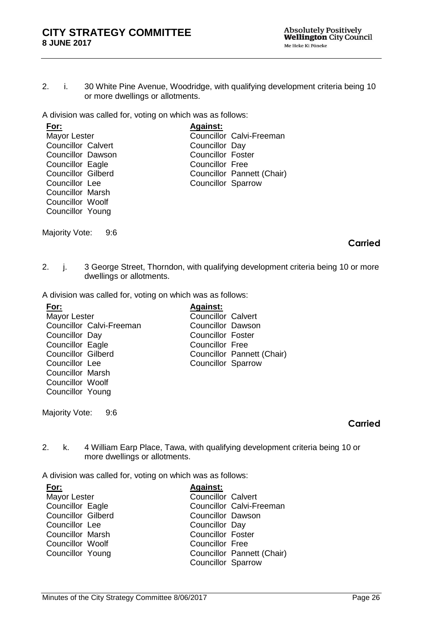2. i. 30 White Pine Avenue, Woodridge, with qualifying development criteria being 10 or more dwellings or allotments.

A division was called for, voting on which was as follows:

| <u>For:</u>               | <b>Against:</b>           |                            |
|---------------------------|---------------------------|----------------------------|
| <b>Mayor Lester</b>       |                           | Councillor Calvi-Freeman   |
| <b>Councillor Calvert</b> | Councillor Day            |                            |
| <b>Councillor Dawson</b>  | <b>Councillor Foster</b>  |                            |
| Councillor Eagle          | <b>Councillor Free</b>    |                            |
| <b>Councillor Gilberd</b> |                           | Councillor Pannett (Chair) |
| Councillor Lee            | <b>Councillor Sparrow</b> |                            |
| <b>Councillor Marsh</b>   |                           |                            |
| Councillor Woolf          |                           |                            |

Majority Vote: 9:6

Councillor Young

#### **Carried**

2. j. 3 George Street, Thorndon, with qualifying development criteria being 10 or more dwellings or allotments.

A division was called for, voting on which was as follows:

| <u>For:</u>               | <b>Against:</b>           |                            |
|---------------------------|---------------------------|----------------------------|
| Mayor Lester              | <b>Councillor Calvert</b> |                            |
| Councillor Calvi-Freeman  | Councillor Dawson         |                            |
| Councillor Day            | <b>Councillor Foster</b>  |                            |
| Councillor Eagle          | <b>Councillor Free</b>    |                            |
| <b>Councillor Gilberd</b> |                           | Councillor Pannett (Chair) |
| Councillor Lee            | <b>Councillor Sparrow</b> |                            |
| <b>Councillor Marsh</b>   |                           |                            |
| Councillor Woolf          |                           |                            |
| Councillor Young          |                           |                            |

Majority Vote: 9:6

#### **Carried**

2. k. 4 William Earp Place, Tawa, with qualifying development criteria being 10 or more dwellings or allotments.

A division was called for, voting on which was as follows:

| For:                      | <b>Against:</b>            |
|---------------------------|----------------------------|
| Mayor Lester              | <b>Councillor Calvert</b>  |
| Councillor Eagle          | Councillor Calvi-Freeman   |
| <b>Councillor Gilberd</b> | Councillor Dawson          |
| Councillor Lee            | Councillor Day             |
| <b>Councillor Marsh</b>   | <b>Councillor Foster</b>   |
| Councillor Woolf          | <b>Councillor Free</b>     |
| Councillor Young          | Councillor Pannett (Chair) |
|                           | <b>Councillor Sparrow</b>  |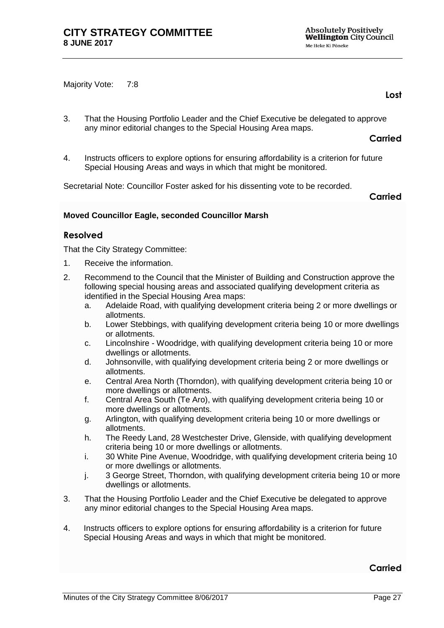Majority Vote: 7:8

**Lost**

3. That the Housing Portfolio Leader and the Chief Executive be delegated to approve any minor editorial changes to the Special Housing Area maps.

**Carried**

4. Instructs officers to explore options for ensuring affordability is a criterion for future Special Housing Areas and ways in which that might be monitored.

Secretarial Note: Councillor Foster asked for his dissenting vote to be recorded.

**Carried**

#### **Moved Councillor Eagle, seconded Councillor Marsh**

#### **Resolved**

That the City Strategy Committee:

- 1. Receive the information.
- 2. Recommend to the Council that the Minister of Building and Construction approve the following special housing areas and associated qualifying development criteria as identified in the Special Housing Area maps:
	- a. Adelaide Road, with qualifying development criteria being 2 or more dwellings or allotments.
	- b. Lower Stebbings, with qualifying development criteria being 10 or more dwellings or allotments.
	- c. Lincolnshire Woodridge, with qualifying development criteria being 10 or more dwellings or allotments.
	- d. Johnsonville, with qualifying development criteria being 2 or more dwellings or allotments.
	- e. Central Area North (Thorndon), with qualifying development criteria being 10 or more dwellings or allotments.
	- f. Central Area South (Te Aro), with qualifying development criteria being 10 or more dwellings or allotments.
	- g. Arlington, with qualifying development criteria being 10 or more dwellings or allotments.
	- h. The Reedy Land, 28 Westchester Drive, Glenside, with qualifying development criteria being 10 or more dwellings or allotments.
	- i. 30 White Pine Avenue, Woodridge, with qualifying development criteria being 10 or more dwellings or allotments.
	- j. 3 George Street, Thorndon, with qualifying development criteria being 10 or more dwellings or allotments.
- 3. That the Housing Portfolio Leader and the Chief Executive be delegated to approve any minor editorial changes to the Special Housing Area maps.
- 4. Instructs officers to explore options for ensuring affordability is a criterion for future Special Housing Areas and ways in which that might be monitored.

**Carried**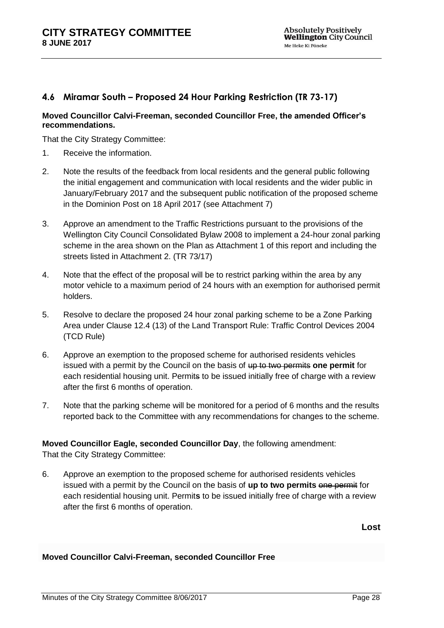# <span id="page-27-0"></span>**4.6 Miramar South – Proposed 24 Hour Parking Restriction (TR 73-17)**

#### **Moved Councillor Calvi-Freeman, seconded Councillor Free, the amended Officer's recommendations.**

That the City Strategy Committee:

- 1. Receive the information.
- 2. Note the results of the feedback from local residents and the general public following the initial engagement and communication with local residents and the wider public in January/February 2017 and the subsequent public notification of the proposed scheme in the Dominion Post on 18 April 2017 (see Attachment 7)
- 3. Approve an amendment to the Traffic Restrictions pursuant to the provisions of the Wellington City Council Consolidated Bylaw 2008 to implement a 24-hour zonal parking scheme in the area shown on the Plan as Attachment 1 of this report and including the streets listed in Attachment 2. (TR 73/17)
- 4. Note that the effect of the proposal will be to restrict parking within the area by any motor vehicle to a maximum period of 24 hours with an exemption for authorised permit holders.
- 5. Resolve to declare the proposed 24 hour zonal parking scheme to be a Zone Parking Area under Clause 12.4 (13) of the Land Transport Rule: Traffic Control Devices 2004 (TCD Rule)
- 6. Approve an exemption to the proposed scheme for authorised residents vehicles issued with a permit by the Council on the basis of up to two permits one permit for each residential housing unit. Permits to be issued initially free of charge with a review after the first 6 months of operation.
- 7. Note that the parking scheme will be monitored for a period of 6 months and the results reported back to the Committee with any recommendations for changes to the scheme.

# **Moved Councillor Eagle, seconded Councillor Day**, the following amendment:

That the City Strategy Committee:

6. Approve an exemption to the proposed scheme for authorised residents vehicles issued with a permit by the Council on the basis of up to two permits one permit for each residential housing unit. Permit**s** to be issued initially free of charge with a review after the first 6 months of operation.

**Lost**

#### **Moved Councillor Calvi-Freeman, seconded Councillor Free**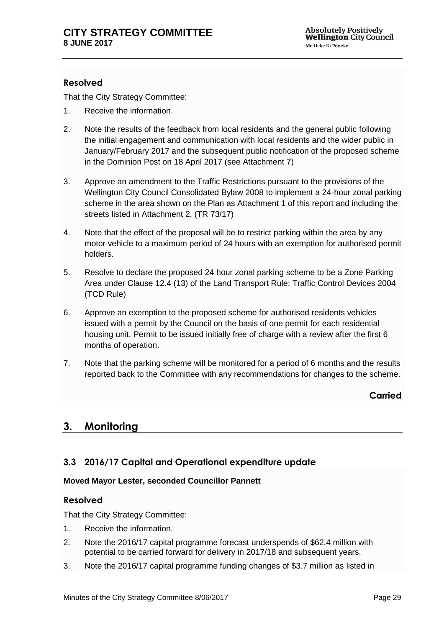# **Resolved**

That the City Strategy Committee:

- 1. Receive the information.
- 2. Note the results of the feedback from local residents and the general public following the initial engagement and communication with local residents and the wider public in January/February 2017 and the subsequent public notification of the proposed scheme in the Dominion Post on 18 April 2017 (see Attachment 7)
- 3. Approve an amendment to the Traffic Restrictions pursuant to the provisions of the Wellington City Council Consolidated Bylaw 2008 to implement a 24-hour zonal parking scheme in the area shown on the Plan as Attachment 1 of this report and including the streets listed in Attachment 2. (TR 73/17)
- 4. Note that the effect of the proposal will be to restrict parking within the area by any motor vehicle to a maximum period of 24 hours with an exemption for authorised permit holders.
- 5. Resolve to declare the proposed 24 hour zonal parking scheme to be a Zone Parking Area under Clause 12.4 (13) of the Land Transport Rule: Traffic Control Devices 2004 (TCD Rule)
- 6. Approve an exemption to the proposed scheme for authorised residents vehicles issued with a permit by the Council on the basis of one permit for each residential housing unit. Permit to be issued initially free of charge with a review after the first 6 months of operation.
- 7. Note that the parking scheme will be monitored for a period of 6 months and the results reported back to the Committee with any recommendations for changes to the scheme.

**Carried**

# **3. Monitoring**

# <span id="page-28-0"></span>**3.3 2016/17 Capital and Operational expenditure update**

#### **Moved Mayor Lester, seconded Councillor Pannett**

## **Resolved**

That the City Strategy Committee:

- 1. Receive the information.
- 2. Note the 2016/17 capital programme forecast underspends of \$62.4 million with potential to be carried forward for delivery in 2017/18 and subsequent years.
- 3. Note the 2016/17 capital programme funding changes of \$3.7 million as listed in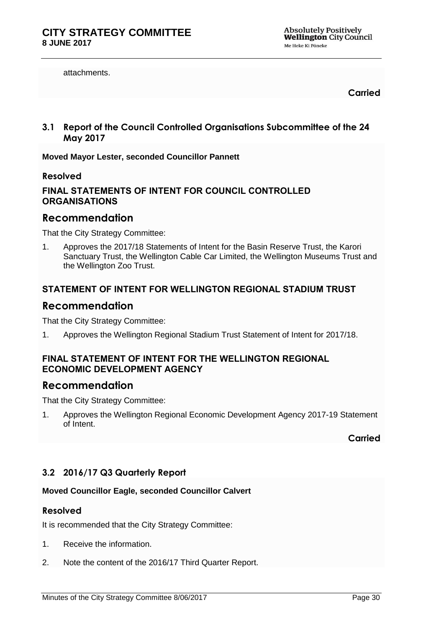attachments.

**Carried**

<span id="page-29-0"></span>**3.1 Report of the Council Controlled Organisations Subcommittee of the 24 May 2017**

**Moved Mayor Lester, seconded Councillor Pannett**

#### **Resolved**

# **FINAL STATEMENTS OF INTENT FOR COUNCIL CONTROLLED ORGANISATIONS**

# **Recommendation**

That the City Strategy Committee:

1. Approves the 2017/18 Statements of Intent for the Basin Reserve Trust, the Karori Sanctuary Trust, the Wellington Cable Car Limited, the Wellington Museums Trust and the Wellington Zoo Trust.

## **STATEMENT OF INTENT FOR WELLINGTON REGIONAL STADIUM TRUST**

# **Recommendation**

That the City Strategy Committee:

1. Approves the Wellington Regional Stadium Trust Statement of Intent for 2017/18.

#### **FINAL STATEMENT OF INTENT FOR THE WELLINGTON REGIONAL ECONOMIC DEVELOPMENT AGENCY**

# **Recommendation**

That the City Strategy Committee:

1. Approves the Wellington Regional Economic Development Agency 2017-19 Statement of Intent.

#### **Carried**

# <span id="page-29-1"></span>**3.2 2016/17 Q3 Quarterly Report**

#### **Moved Councillor Eagle, seconded Councillor Calvert**

#### **Resolved**

It is recommended that the City Strategy Committee:

- 1. Receive the information.
- 2. Note the content of the 2016/17 Third Quarter Report.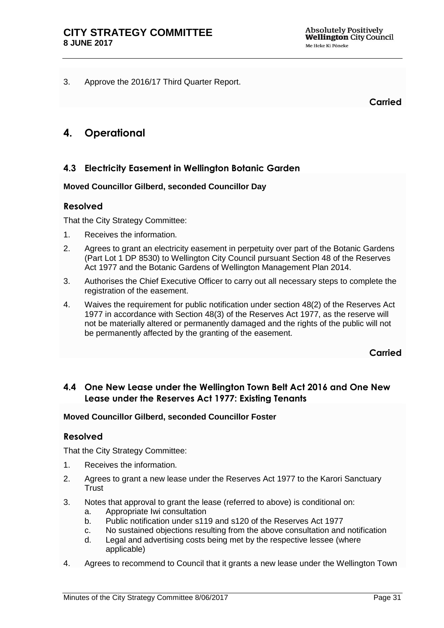<span id="page-30-1"></span>3. Approve the 2016/17 Third Quarter Report.

**Carried**

# **4. Operational**

# <span id="page-30-0"></span>**4.3 Electricity Easement in Wellington Botanic Garden**

#### **Moved Councillor Gilberd, seconded Councillor Day**

#### **Resolved**

That the City Strategy Committee:

- 1. Receives the information.
- 2. Agrees to grant an electricity easement in perpetuity over part of the Botanic Gardens (Part Lot 1 DP 8530) to Wellington City Council pursuant Section 48 of the Reserves Act 1977 and the Botanic Gardens of Wellington Management Plan 2014.
- 3. Authorises the Chief Executive Officer to carry out all necessary steps to complete the registration of the easement.
- 4. Waives the requirement for public notification under section 48(2) of the Reserves Act 1977 in accordance with Section 48(3) of the Reserves Act 1977, as the reserve will not be materially altered or permanently damaged and the rights of the public will not be permanently affected by the granting of the easement.

**Carried**

# **4.4 One New Lease under the Wellington Town Belt Act 2016 and One New Lease under the Reserves Act 1977: Existing Tenants**

#### **Moved Councillor Gilberd, seconded Councillor Foster**

## **Resolved**

That the City Strategy Committee:

- 1. Receives the information.
- 2. Agrees to grant a new lease under the Reserves Act 1977 to the Karori Sanctuary Trust
- 3. Notes that approval to grant the lease (referred to above) is conditional on:
	- a. Appropriate Iwi consultation
	- b. Public notification under s119 and s120 of the Reserves Act 1977
	- c. No sustained objections resulting from the above consultation and notification
	- d. Legal and advertising costs being met by the respective lessee (where applicable)
- 4. Agrees to recommend to Council that it grants a new lease under the Wellington Town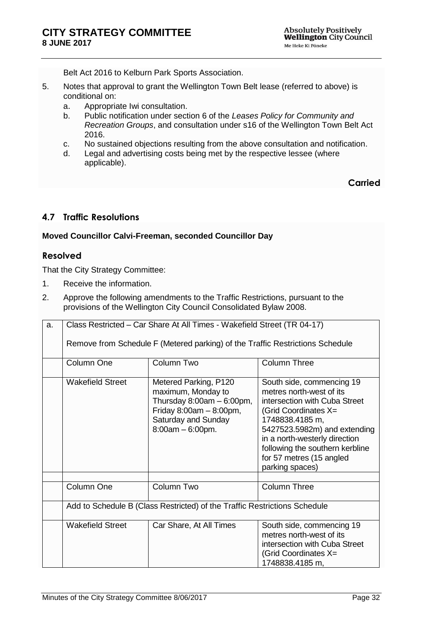Belt Act 2016 to Kelburn Park Sports Association.

- 5. Notes that approval to grant the Wellington Town Belt lease (referred to above) is conditional on:
	- a. Appropriate Iwi consultation.
	- b. Public notification under section 6 of the *Leases Policy for Community and Recreation Groups*, and consultation under s16 of the Wellington Town Belt Act 2016.
	- c. No sustained objections resulting from the above consultation and notification.
	- d. Legal and advertising costs being met by the respective lessee (where applicable).

**Carried**

# <span id="page-31-0"></span>**4.7 Traffic Resolutions**

#### **Moved Councillor Calvi-Freeman, seconded Councillor Day**

#### **Resolved**

That the City Strategy Committee:

- 1. Receive the information.
- 2. Approve the following amendments to the Traffic Restrictions, pursuant to the provisions of the Wellington City Council Consolidated Bylaw 2008.

| a. | Class Restricted – Car Share At All Times - Wakefield Street (TR 04-17)   |                                                                                                                                                        |                                                                                                                                                                                                                                                                                      |
|----|---------------------------------------------------------------------------|--------------------------------------------------------------------------------------------------------------------------------------------------------|--------------------------------------------------------------------------------------------------------------------------------------------------------------------------------------------------------------------------------------------------------------------------------------|
|    |                                                                           | Remove from Schedule F (Metered parking) of the Traffic Restrictions Schedule                                                                          |                                                                                                                                                                                                                                                                                      |
|    | Column One                                                                | Column Two                                                                                                                                             | <b>Column Three</b>                                                                                                                                                                                                                                                                  |
|    | <b>Wakefield Street</b>                                                   | Metered Parking, P120<br>maximum, Monday to<br>Thursday $8:00am - 6:00pm$ ,<br>Friday $8:00am - 8:00pm$ ,<br>Saturday and Sunday<br>$8:00am - 6:00pm.$ | South side, commencing 19<br>metres north-west of its<br>intersection with Cuba Street<br>(Grid Coordinates X=<br>1748838.4185 m,<br>5427523.5982m) and extending<br>in a north-westerly direction<br>following the southern kerbline<br>for 57 metres (15 angled<br>parking spaces) |
|    | Column One                                                                | Column Two                                                                                                                                             | <b>Column Three</b>                                                                                                                                                                                                                                                                  |
|    | Add to Schedule B (Class Restricted) of the Traffic Restrictions Schedule |                                                                                                                                                        |                                                                                                                                                                                                                                                                                      |
|    | <b>Wakefield Street</b>                                                   | Car Share, At All Times                                                                                                                                | South side, commencing 19<br>metres north-west of its<br>intersection with Cuba Street<br>(Grid Coordinates X=<br>1748838.4185 m,                                                                                                                                                    |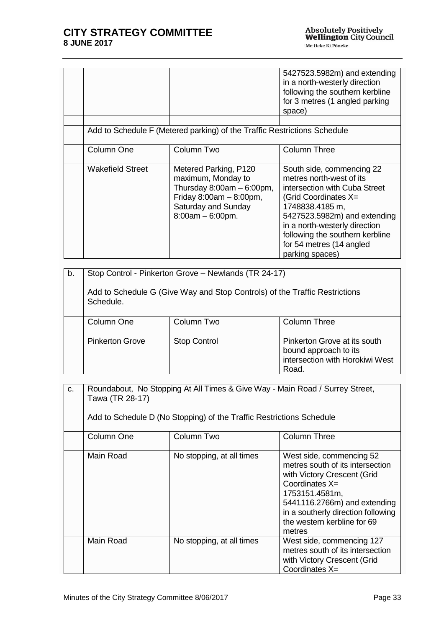|                         |                                                                                                                                                        | 5427523.5982m) and extending<br>in a north-westerly direction<br>following the southern kerbline<br>for 3 metres (1 angled parking<br>space)                                                                                                                                         |
|-------------------------|--------------------------------------------------------------------------------------------------------------------------------------------------------|--------------------------------------------------------------------------------------------------------------------------------------------------------------------------------------------------------------------------------------------------------------------------------------|
|                         |                                                                                                                                                        |                                                                                                                                                                                                                                                                                      |
|                         | Add to Schedule F (Metered parking) of the Traffic Restrictions Schedule                                                                               |                                                                                                                                                                                                                                                                                      |
| Column One              | Column Two                                                                                                                                             | Column Three                                                                                                                                                                                                                                                                         |
| <b>Wakefield Street</b> | Metered Parking, P120<br>maximum, Monday to<br>Thursday $8:00am - 6:00pm$ ,<br>Friday $8:00am - 8:00pm$ ,<br>Saturday and Sunday<br>$8:00am - 6:00pm.$ | South side, commencing 22<br>metres north-west of its<br>intersection with Cuba Street<br>(Grid Coordinates X=<br>1748838.4185 m,<br>5427523.5982m) and extending<br>in a north-westerly direction<br>following the southern kerbline<br>for 54 metres (14 angled<br>parking spaces) |

| b. | Stop Control - Pinkerton Grove - Newlands (TR 24-17)<br>Add to Schedule G (Give Way and Stop Controls) of the Traffic Restrictions<br>Schedule. |                     |                                                                                                   |
|----|-------------------------------------------------------------------------------------------------------------------------------------------------|---------------------|---------------------------------------------------------------------------------------------------|
|    | Column One                                                                                                                                      | Column Two          | <b>Column Three</b>                                                                               |
|    | <b>Pinkerton Grove</b>                                                                                                                          | <b>Stop Control</b> | Pinkerton Grove at its south<br>bound approach to its<br>intersection with Horokiwi West<br>Road. |

| c. | Roundabout, No Stopping At All Times & Give Way - Main Road / Surrey Street,<br>Tawa (TR 28-17)<br>Add to Schedule D (No Stopping) of the Traffic Restrictions Schedule |                           |                                                                                                                                                                                                                                                  |
|----|-------------------------------------------------------------------------------------------------------------------------------------------------------------------------|---------------------------|--------------------------------------------------------------------------------------------------------------------------------------------------------------------------------------------------------------------------------------------------|
|    | Column One                                                                                                                                                              | Column Two                | <b>Column Three</b>                                                                                                                                                                                                                              |
|    | Main Road                                                                                                                                                               | No stopping, at all times | West side, commencing 52<br>metres south of its intersection<br>with Victory Crescent (Grid<br>Coordinates $X=$<br>1753151.4581m,<br>5441116.2766m) and extending<br>in a southerly direction following<br>the western kerbline for 69<br>metres |
|    | Main Road                                                                                                                                                               | No stopping, at all times | West side, commencing 127<br>metres south of its intersection<br>with Victory Crescent (Grid<br>Coordinates X=                                                                                                                                   |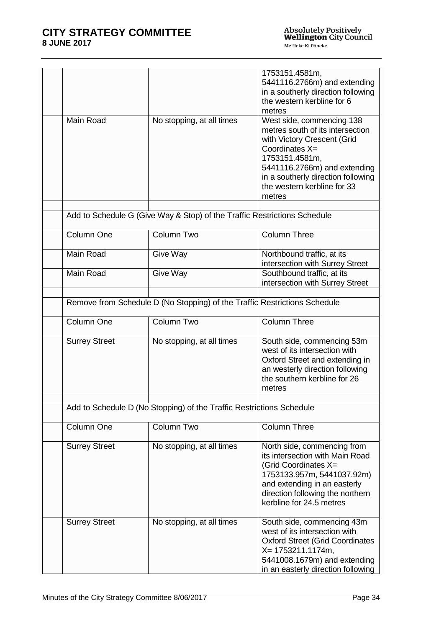|                      |                                                                           | 1753151.4581m,<br>5441116.2766m) and extending<br>in a southerly direction following<br>the western kerbline for 6<br>metres                                                                                                                    |
|----------------------|---------------------------------------------------------------------------|-------------------------------------------------------------------------------------------------------------------------------------------------------------------------------------------------------------------------------------------------|
| Main Road            | No stopping, at all times                                                 | West side, commencing 138<br>metres south of its intersection<br>with Victory Crescent (Grid<br>Coordinates X=<br>1753151.4581m,<br>5441116.2766m) and extending<br>in a southerly direction following<br>the western kerbline for 33<br>metres |
|                      | Add to Schedule G (Give Way & Stop) of the Traffic Restrictions Schedule  |                                                                                                                                                                                                                                                 |
| Column One           | <b>Column Two</b>                                                         | <b>Column Three</b>                                                                                                                                                                                                                             |
| Main Road            | Give Way                                                                  | Northbound traffic, at its<br>intersection with Surrey Street                                                                                                                                                                                   |
| Main Road            | Give Way                                                                  | Southbound traffic, at its<br>intersection with Surrey Street                                                                                                                                                                                   |
|                      | Remove from Schedule D (No Stopping) of the Traffic Restrictions Schedule |                                                                                                                                                                                                                                                 |
| Column One           | Column Two                                                                | <b>Column Three</b>                                                                                                                                                                                                                             |
| <b>Surrey Street</b> | No stopping, at all times                                                 | South side, commencing 53m<br>west of its intersection with<br>Oxford Street and extending in<br>an westerly direction following<br>the southern kerbline for 26<br>metres                                                                      |
|                      | Add to Schedule D (No Stopping) of the Traffic Restrictions Schedule      |                                                                                                                                                                                                                                                 |
| Column One           | Column Two                                                                | <b>Column Three</b>                                                                                                                                                                                                                             |
| <b>Surrey Street</b> | No stopping, at all times                                                 | North side, commencing from<br>its intersection with Main Road<br>(Grid Coordinates X=<br>1753133.957m, 5441037.92m)<br>and extending in an easterly<br>direction following the northern<br>kerbline for 24.5 metres                            |
| <b>Surrey Street</b> | No stopping, at all times                                                 | South side, commencing 43m<br>west of its intersection with<br><b>Oxford Street (Grid Coordinates</b><br>$X = 1753211.1174m$ ,<br>5441008.1679m) and extending<br>in an easterly direction following                                            |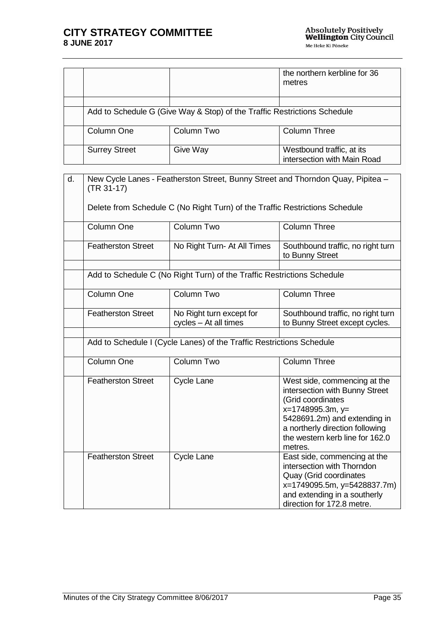|                      |                                                                          | the northern kerbline for 36<br>metres                   |
|----------------------|--------------------------------------------------------------------------|----------------------------------------------------------|
|                      |                                                                          |                                                          |
|                      | Add to Schedule G (Give Way & Stop) of the Traffic Restrictions Schedule |                                                          |
| Column One           | Column Two                                                               | Column Three                                             |
| <b>Surrey Street</b> | Give Way                                                                 | Westbound traffic, at its<br>intersection with Main Road |

| d. | $(TR 31-17)$              |                                                                             | New Cycle Lanes - Featherston Street, Bunny Street and Thorndon Quay, Pipitea -                                                                                                                                          |
|----|---------------------------|-----------------------------------------------------------------------------|--------------------------------------------------------------------------------------------------------------------------------------------------------------------------------------------------------------------------|
|    |                           | Delete from Schedule C (No Right Turn) of the Traffic Restrictions Schedule |                                                                                                                                                                                                                          |
|    | Column One                | Column Two                                                                  | <b>Column Three</b>                                                                                                                                                                                                      |
|    | <b>Featherston Street</b> | No Right Turn- At All Times                                                 | Southbound traffic, no right turn<br>to Bunny Street                                                                                                                                                                     |
|    |                           | Add to Schedule C (No Right Turn) of the Traffic Restrictions Schedule      |                                                                                                                                                                                                                          |
|    | Column One                | Column Two                                                                  | <b>Column Three</b>                                                                                                                                                                                                      |
|    | <b>Featherston Street</b> | No Right turn except for<br>cycles - At all times                           | Southbound traffic, no right turn<br>to Bunny Street except cycles.                                                                                                                                                      |
|    |                           | Add to Schedule I (Cycle Lanes) of the Traffic Restrictions Schedule        |                                                                                                                                                                                                                          |
|    | Column One                | Column Two                                                                  | <b>Column Three</b>                                                                                                                                                                                                      |
|    | <b>Featherston Street</b> | Cycle Lane                                                                  | West side, commencing at the<br>intersection with Bunny Street<br>(Grid coordinates<br>x=1748995.3m, y=<br>5428691.2m) and extending in<br>a northerly direction following<br>the western kerb line for 162.0<br>metres. |
|    | <b>Featherston Street</b> | Cycle Lane                                                                  | East side, commencing at the<br>intersection with Thorndon<br>Quay (Grid coordinates<br>x=1749095.5m, y=5428837.7m)<br>and extending in a southerly<br>direction for 172.8 metre.                                        |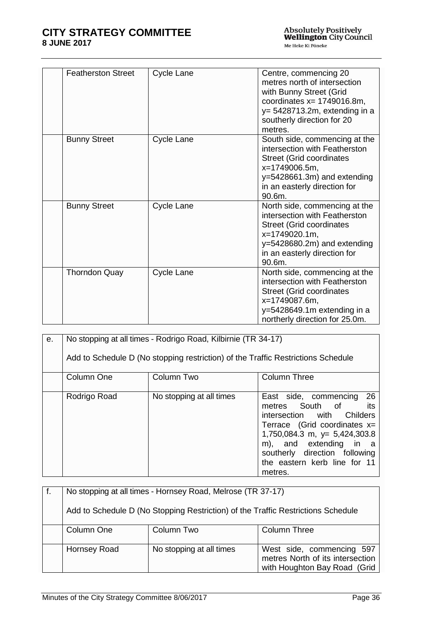| <b>Featherston Street</b> | Cycle Lane | Centre, commencing 20<br>metres north of intersection<br>with Bunny Street (Grid<br>coordinates $x = 1749016.8m$ ,<br>$y = 5428713.2m$ , extending in a<br>southerly direction for 20<br>metres. |
|---------------------------|------------|--------------------------------------------------------------------------------------------------------------------------------------------------------------------------------------------------|
| <b>Bunny Street</b>       | Cycle Lane | South side, commencing at the<br>intersection with Featherston<br><b>Street (Grid coordinates</b><br>x=1749006.5m,<br>y=5428661.3m) and extending<br>in an easterly direction for<br>90.6m.      |
| <b>Bunny Street</b>       | Cycle Lane | North side, commencing at the<br>intersection with Featherston<br><b>Street (Grid coordinates</b><br>x=1749020.1m,<br>$y=5428680.2m$ ) and extending<br>in an easterly direction for<br>90.6m.   |
| <b>Thorndon Quay</b>      | Cycle Lane | North side, commencing at the<br>intersection with Featherston<br><b>Street (Grid coordinates</b><br>x=1749087.6m,<br>y=5428649.1m extending in a<br>northerly direction for 25.0m.              |

| е. |              | No stopping at all times - Rodrigo Road, Kilbirnie (TR 34-17)                    |                                                                                                                                                                                                                                                           |
|----|--------------|----------------------------------------------------------------------------------|-----------------------------------------------------------------------------------------------------------------------------------------------------------------------------------------------------------------------------------------------------------|
|    |              | Add to Schedule D (No stopping restriction) of the Traffic Restrictions Schedule |                                                                                                                                                                                                                                                           |
|    | Column One   | Column Two                                                                       | <b>Column Three</b>                                                                                                                                                                                                                                       |
|    | Rodrigo Road | No stopping at all times                                                         | 26<br>East side, commencing<br>metres South of its<br>intersection with Childers<br>Terrace (Grid coordinates $x=$<br>1,750,084.3 m, y= 5,424,303.8<br>m), and extending in a<br>southerly direction following<br>the eastern kerb line for 11<br>metres. |

| No stopping at all times - Hornsey Road, Melrose (TR 37-17)                      |                          |                                                                                               |
|----------------------------------------------------------------------------------|--------------------------|-----------------------------------------------------------------------------------------------|
| Add to Schedule D (No Stopping Restriction) of the Traffic Restrictions Schedule |                          |                                                                                               |
| Column One                                                                       | Column Two               | <b>Column Three</b>                                                                           |
| Hornsey Road                                                                     | No stopping at all times | West side, commencing 597<br>metres North of its intersection<br>with Houghton Bay Road (Grid |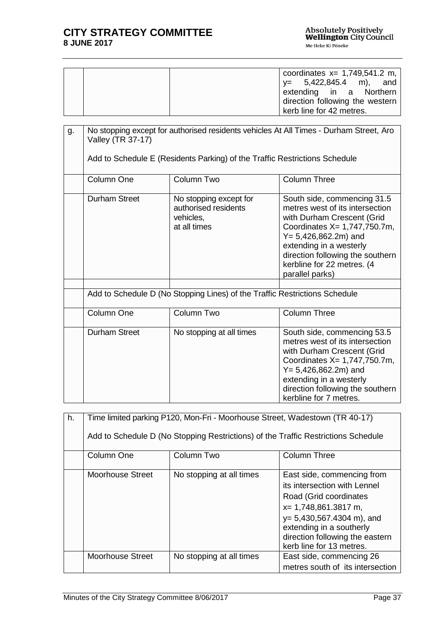|  | coordinates $x = 1,749,541.2$ m,<br>$y = 5,422,845.4$ m), and<br>extending in a Northern<br>direction following the western<br>kerb line for 42 metres. |
|--|---------------------------------------------------------------------------------------------------------------------------------------------------------|
|--|---------------------------------------------------------------------------------------------------------------------------------------------------------|

| g. | No stopping except for authorised residents vehicles At All Times - Durham Street, Aro<br>Valley (TR 37-17) |                                                                             |                                                                                                                                                                                                                                                                          |
|----|-------------------------------------------------------------------------------------------------------------|-----------------------------------------------------------------------------|--------------------------------------------------------------------------------------------------------------------------------------------------------------------------------------------------------------------------------------------------------------------------|
|    |                                                                                                             | Add to Schedule E (Residents Parking) of the Traffic Restrictions Schedule  |                                                                                                                                                                                                                                                                          |
|    | Column One                                                                                                  | Column Two                                                                  | <b>Column Three</b>                                                                                                                                                                                                                                                      |
|    | Durham Street                                                                                               | No stopping except for<br>authorised residents<br>vehicles,<br>at all times | South side, commencing 31.5<br>metres west of its intersection<br>with Durham Crescent (Grid<br>Coordinates X= 1,747,750.7m,<br>$Y = 5,426,862.2m$ ) and<br>extending in a westerly<br>direction following the southern<br>kerbline for 22 metres. (4<br>parallel parks) |
|    | Add to Schedule D (No Stopping Lines) of the Traffic Restrictions Schedule                                  |                                                                             |                                                                                                                                                                                                                                                                          |
|    | Column One                                                                                                  | Column Two                                                                  | <b>Column Three</b>                                                                                                                                                                                                                                                      |
|    | <b>Durham Street</b>                                                                                        | No stopping at all times                                                    | South side, commencing 53.5<br>metres west of its intersection<br>with Durham Crescent (Grid<br>Coordinates X= 1,747,750.7m,<br>$Y = 5,426,862.2m$ ) and<br>extending in a westerly<br>direction following the southern<br>kerbline for 7 metres.                        |

| h. | Time limited parking P120, Mon-Fri - Moorhouse Street, Wadestown (TR 40-17) |                                                                                   |                                                                                                                                                                                                                                                  |  |
|----|-----------------------------------------------------------------------------|-----------------------------------------------------------------------------------|--------------------------------------------------------------------------------------------------------------------------------------------------------------------------------------------------------------------------------------------------|--|
|    |                                                                             | Add to Schedule D (No Stopping Restrictions) of the Traffic Restrictions Schedule |                                                                                                                                                                                                                                                  |  |
|    | Column One                                                                  | Column Two                                                                        | <b>Column Three</b>                                                                                                                                                                                                                              |  |
|    | Moorhouse Street                                                            | No stopping at all times                                                          | East side, commencing from<br>its intersection with Lennel<br>Road (Grid coordinates<br>$x=$ 1,748,861.3817 m,<br>$y= 5,430,567.4304 \text{ m}$ , and<br>extending in a southerly<br>direction following the eastern<br>kerb line for 13 metres. |  |
|    | <b>Moorhouse Street</b>                                                     | No stopping at all times                                                          | East side, commencing 26<br>metres south of its intersection                                                                                                                                                                                     |  |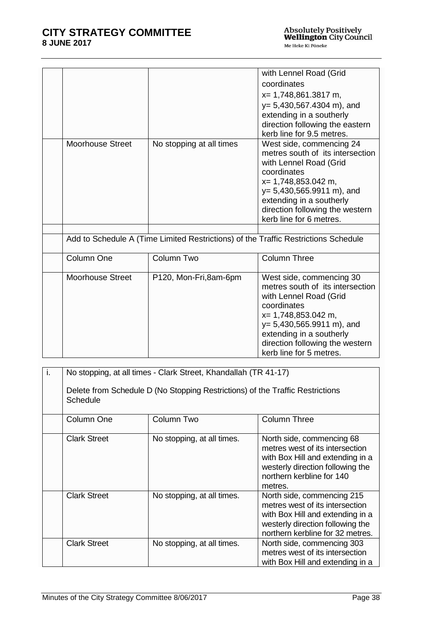|                         |                                                                                    | with Lennel Road (Grid<br>coordinates<br>x= 1,748,861.3817 m,<br>$y= 5,430,567.4304$ m), and<br>extending in a southerly<br>direction following the eastern<br>kerb line for 9.5 metres.                                                                      |
|-------------------------|------------------------------------------------------------------------------------|---------------------------------------------------------------------------------------------------------------------------------------------------------------------------------------------------------------------------------------------------------------|
| <b>Moorhouse Street</b> | No stopping at all times                                                           | West side, commencing 24<br>metres south of its intersection<br>with Lennel Road (Grid<br>coordinates<br>x= 1,748,853.042 m,<br>$y= 5,430,565.9911 \text{ m}$ , and<br>extending in a southerly<br>direction following the western<br>kerb line for 6 metres. |
|                         | Add to Schedule A (Time Limited Restrictions) of the Traffic Restrictions Schedule |                                                                                                                                                                                                                                                               |
| Column One              | Column Two                                                                         | <b>Column Three</b>                                                                                                                                                                                                                                           |
| <b>Moorhouse Street</b> | P120, Mon-Fri,8am-6pm                                                              | West side, commencing 30<br>metres south of its intersection<br>with Lennel Road (Grid<br>coordinates<br>x= 1,748,853.042 m,<br>$y= 5,430,565.9911$ m), and<br>extending in a southerly<br>direction following the western<br>kerb line for 5 metres.         |

| j. | No stopping, at all times - Clark Street, Khandallah (TR 41-17)<br>Delete from Schedule D (No Stopping Restrictions) of the Traffic Restrictions<br><b>Schedule</b> |                            |                                                                                                                                                                              |
|----|---------------------------------------------------------------------------------------------------------------------------------------------------------------------|----------------------------|------------------------------------------------------------------------------------------------------------------------------------------------------------------------------|
|    | Column One                                                                                                                                                          | Column Two                 | <b>Column Three</b>                                                                                                                                                          |
|    | <b>Clark Street</b>                                                                                                                                                 | No stopping, at all times. | North side, commencing 68<br>metres west of its intersection<br>with Box Hill and extending in a<br>westerly direction following the<br>northern kerbline for 140<br>metres. |
|    | <b>Clark Street</b>                                                                                                                                                 | No stopping, at all times. | North side, commencing 215<br>metres west of its intersection<br>with Box Hill and extending in a<br>westerly direction following the<br>northern kerbline for 32 metres.    |
|    | <b>Clark Street</b>                                                                                                                                                 | No stopping, at all times. | North side, commencing 303<br>metres west of its intersection<br>with Box Hill and extending in a                                                                            |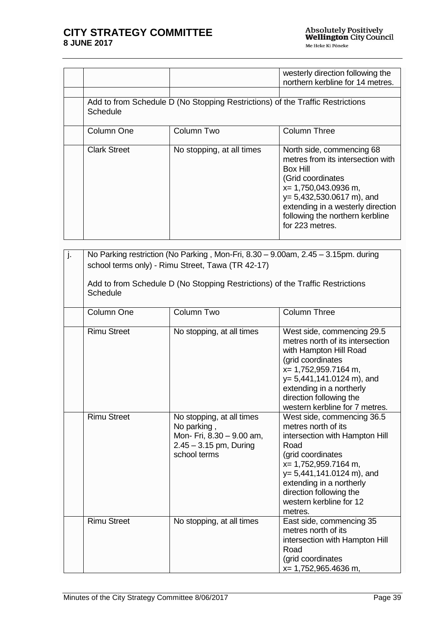|                     |                                                                               | westerly direction following the<br>northern kerbline for 14 metres.                                                                                                                                                                                |
|---------------------|-------------------------------------------------------------------------------|-----------------------------------------------------------------------------------------------------------------------------------------------------------------------------------------------------------------------------------------------------|
| Schedule            | Add to from Schedule D (No Stopping Restrictions) of the Traffic Restrictions |                                                                                                                                                                                                                                                     |
| Column One          | Column Two                                                                    | <b>Column Three</b>                                                                                                                                                                                                                                 |
| <b>Clark Street</b> | No stopping, at all times                                                     | North side, commencing 68<br>metres from its intersection with<br>Box Hill<br>(Grid coordinates<br>$x=$ 1,750,043.0936 m,<br>$y= 5,432,530.0617$ m), and<br>extending in a westerly direction<br>following the northern kerbline<br>for 223 metres. |

| j. | No Parking restriction (No Parking, Mon-Fri, 8.30 - 9.00am, 2.45 - 3.15pm. during<br>school terms only) - Rimu Street, Tawa (TR 42-17) |                                                                                                                   |                                                                                                                                                                                                                                                                              |
|----|----------------------------------------------------------------------------------------------------------------------------------------|-------------------------------------------------------------------------------------------------------------------|------------------------------------------------------------------------------------------------------------------------------------------------------------------------------------------------------------------------------------------------------------------------------|
|    | Add to from Schedule D (No Stopping Restrictions) of the Traffic Restrictions<br>Schedule                                              |                                                                                                                   |                                                                                                                                                                                                                                                                              |
|    | Column One                                                                                                                             | Column Two                                                                                                        | <b>Column Three</b>                                                                                                                                                                                                                                                          |
|    | <b>Rimu Street</b>                                                                                                                     | No stopping, at all times                                                                                         | West side, commencing 29.5<br>metres north of its intersection<br>with Hampton Hill Road<br>(grid coordinates<br>x= 1,752,959.7164 m,<br>$y= 5,441,141.0124 \text{ m}$ , and<br>extending in a northerly<br>direction following the<br>western kerbline for 7 metres.        |
|    | <b>Rimu Street</b>                                                                                                                     | No stopping, at all times<br>No parking,<br>Mon- Fri, 8.30 - 9.00 am,<br>$2.45 - 3.15$ pm, During<br>school terms | West side, commencing 36.5<br>metres north of its<br>intersection with Hampton Hill<br>Road<br>(grid coordinates<br>x= 1,752,959.7164 m,<br>$y= 5,441,141.0124 \text{ m}$ , and<br>extending in a northerly<br>direction following the<br>western kerbline for 12<br>metres. |
|    | <b>Rimu Street</b>                                                                                                                     | No stopping, at all times                                                                                         | East side, commencing 35<br>metres north of its<br>intersection with Hampton Hill<br>Road<br>(grid coordinates<br>x= 1,752,965.4636 m,                                                                                                                                       |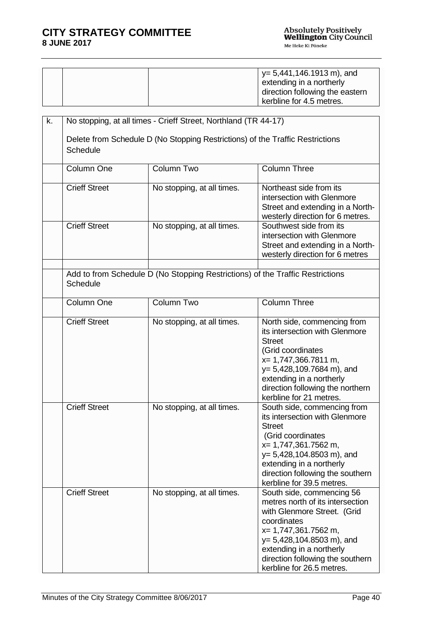|  | $y = 5,441,146.1913$ m), and<br>extending in a northerly<br>direction following the eastern |
|--|---------------------------------------------------------------------------------------------|
|  | kerbline for 4.5 metres.                                                                    |

| k. | No stopping, at all times - Crieff Street, Northland (TR 44-17)<br>Delete from Schedule D (No Stopping Restrictions) of the Traffic Restrictions<br>Schedule |                                                                               |                                                                                                                                                                                                                                                                 |
|----|--------------------------------------------------------------------------------------------------------------------------------------------------------------|-------------------------------------------------------------------------------|-----------------------------------------------------------------------------------------------------------------------------------------------------------------------------------------------------------------------------------------------------------------|
|    | Column One                                                                                                                                                   | Column Two                                                                    | <b>Column Three</b>                                                                                                                                                                                                                                             |
|    | <b>Crieff Street</b>                                                                                                                                         | No stopping, at all times.                                                    | Northeast side from its<br>intersection with Glenmore<br>Street and extending in a North-<br>westerly direction for 6 metres.                                                                                                                                   |
|    | <b>Crieff Street</b>                                                                                                                                         | No stopping, at all times.                                                    | Southwest side from its<br>intersection with Glenmore<br>Street and extending in a North-<br>westerly direction for 6 metres                                                                                                                                    |
|    | Schedule                                                                                                                                                     | Add to from Schedule D (No Stopping Restrictions) of the Traffic Restrictions |                                                                                                                                                                                                                                                                 |
|    | Column One                                                                                                                                                   | Column Two                                                                    | <b>Column Three</b>                                                                                                                                                                                                                                             |
|    | <b>Crieff Street</b>                                                                                                                                         | No stopping, at all times.                                                    | North side, commencing from<br>its intersection with Glenmore<br><b>Street</b><br>(Grid coordinates<br>x= 1,747,366.7811 m,<br>$y= 5,428,109.7684$ m), and<br>extending in a northerly<br>direction following the northern<br>kerbline for 21 metres.           |
|    | <b>Crieff Street</b>                                                                                                                                         | No stopping, at all times.                                                    | South side, commencing from<br>its intersection with Glenmore<br><b>Street</b><br>(Grid coordinates<br>x= 1,747,361.7562 m,<br>$y= 5,428,104.8503$ m), and<br>extending in a northerly<br>direction following the southern<br>kerbline for 39.5 metres.         |
|    | <b>Crieff Street</b>                                                                                                                                         | No stopping, at all times.                                                    | South side, commencing 56<br>metres north of its intersection<br>with Glenmore Street. (Grid<br>coordinates<br>x= 1,747,361.7562 m,<br>$y= 5,428,104.8503$ m), and<br>extending in a northerly<br>direction following the southern<br>kerbline for 26.5 metres. |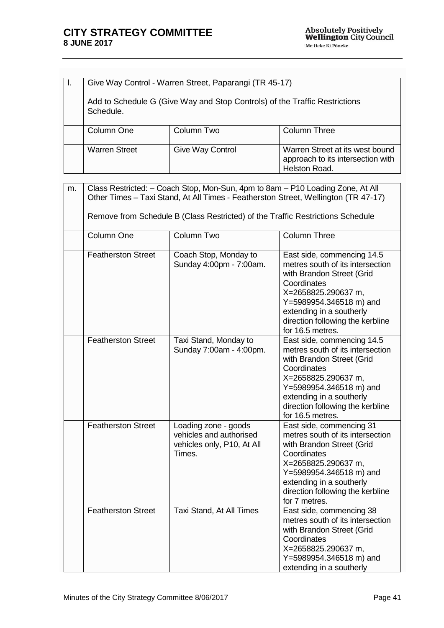| Give Way Control - Warren Street, Paparangi (TR 45-17)                                  |                         |                                                                                       |
|-----------------------------------------------------------------------------------------|-------------------------|---------------------------------------------------------------------------------------|
| Add to Schedule G (Give Way and Stop Controls) of the Traffic Restrictions<br>Schedule. |                         |                                                                                       |
| Column One                                                                              | Column Two              | Column Three                                                                          |
| <b>Warren Street</b>                                                                    | <b>Give Way Control</b> | Warren Street at its west bound<br>approach to its intersection with<br>Helston Road. |

| m. | Class Restricted: - Coach Stop, Mon-Sun, 4pm to 8am - P10 Loading Zone, At All<br>Other Times - Taxi Stand, At All Times - Featherston Street, Wellington (TR 47-17) |                                                                                         |                                                                                                                                                                                                                                                  |
|----|----------------------------------------------------------------------------------------------------------------------------------------------------------------------|-----------------------------------------------------------------------------------------|--------------------------------------------------------------------------------------------------------------------------------------------------------------------------------------------------------------------------------------------------|
|    |                                                                                                                                                                      | Remove from Schedule B (Class Restricted) of the Traffic Restrictions Schedule          |                                                                                                                                                                                                                                                  |
|    | Column One                                                                                                                                                           | Column Two                                                                              | <b>Column Three</b>                                                                                                                                                                                                                              |
|    | <b>Featherston Street</b>                                                                                                                                            | Coach Stop, Monday to<br>Sunday 4:00pm - 7:00am.                                        | East side, commencing 14.5<br>metres south of its intersection<br>with Brandon Street (Grid<br>Coordinates<br>X=2658825.290637 m,<br>Y=5989954.346518 m) and<br>extending in a southerly<br>direction following the kerbline<br>for 16.5 metres. |
|    | <b>Featherston Street</b>                                                                                                                                            | Taxi Stand, Monday to<br>Sunday 7:00am - 4:00pm.                                        | East side, commencing 14.5<br>metres south of its intersection<br>with Brandon Street (Grid<br>Coordinates<br>X=2658825.290637 m,<br>Y=5989954.346518 m) and<br>extending in a southerly<br>direction following the kerbline<br>for 16.5 metres. |
|    | Featherston Street                                                                                                                                                   | Loading zone - goods<br>vehicles and authorised<br>vehicles only, P10, At All<br>Times. | East side, commencing 31<br>metres south of its intersection<br>with Brandon Street (Grid<br>Coordinates<br>X=2658825.290637 m,<br>Y=5989954.346518 m) and<br>extending in a southerly<br>direction following the kerbline<br>for 7 metres.      |
|    | <b>Featherston Street</b>                                                                                                                                            | Taxi Stand, At All Times                                                                | East side, commencing 38<br>metres south of its intersection<br>with Brandon Street (Grid<br>Coordinates<br>X=2658825.290637 m,<br>Y=5989954.346518 m) and<br>extending in a southerly                                                           |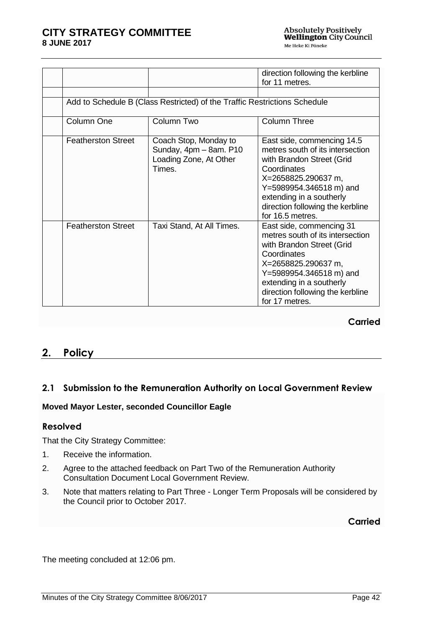|                           |                                                                                     | direction following the kerbline<br>for 11 metres.                                                                                                                                                                                               |
|---------------------------|-------------------------------------------------------------------------------------|--------------------------------------------------------------------------------------------------------------------------------------------------------------------------------------------------------------------------------------------------|
|                           | Add to Schedule B (Class Restricted) of the Traffic Restrictions Schedule           |                                                                                                                                                                                                                                                  |
| Column One                | Column Two                                                                          | <b>Column Three</b>                                                                                                                                                                                                                              |
| <b>Featherston Street</b> | Coach Stop, Monday to<br>Sunday, 4pm - 8am. P10<br>Loading Zone, At Other<br>Times. | East side, commencing 14.5<br>metres south of its intersection<br>with Brandon Street (Grid<br>Coordinates<br>X=2658825.290637 m,<br>Y=5989954.346518 m) and<br>extending in a southerly<br>direction following the kerbline<br>for 16.5 metres. |
| <b>Featherston Street</b> | Taxi Stand, At All Times.                                                           | East side, commencing 31<br>metres south of its intersection<br>with Brandon Street (Grid<br>Coordinates<br>X=2658825.290637 m,<br>Y=5989954.346518 m) and<br>extending in a southerly<br>direction following the kerbline<br>for 17 metres.     |

**Carried**

# **2. Policy**

# <span id="page-41-0"></span>**2.1 Submission to the Remuneration Authority on Local Government Review**

#### **Moved Mayor Lester, seconded Councillor Eagle**

#### **Resolved**

That the City Strategy Committee:

- 1. Receive the information.
- 2. Agree to the attached feedback on Part Two of the Remuneration Authority Consultation Document Local Government Review.
- 3. Note that matters relating to Part Three Longer Term Proposals will be considered by the Council prior to October 2017.

**Carried**

The meeting concluded at 12:06 pm.